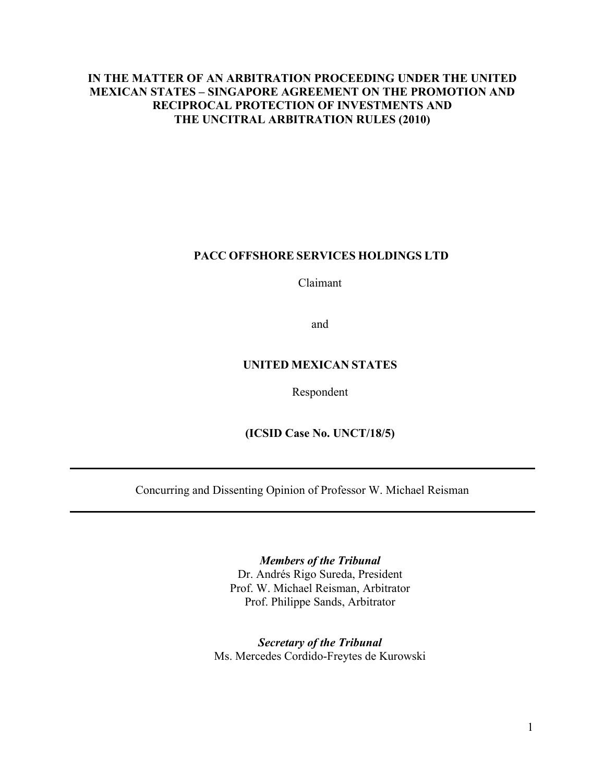# **IN THE MATTER OF AN ARBITRATION PROCEEDING UNDER THE UNITED MEXICAN STATES – SINGAPORE AGREEMENT ON THE PROMOTION AND RECIPROCAL PROTECTION OF INVESTMENTS AND THE UNCITRAL ARBITRATION RULES (2010)**

# **PACC OFFSHORE SERVICES HOLDINGS LTD**

Claimant

and

# **UNITED MEXICAN STATES**

#### Respondent

**(ICSID Case No. UNCT/18/5)**

Concurring and Dissenting Opinion of Professor W. Michael Reisman

*Members of the Tribunal*

Dr. Andrés Rigo Sureda, President Prof. W. Michael Reisman, Arbitrator Prof. Philippe Sands, Arbitrator

*Secretary of the Tribunal* Ms. Mercedes Cordido-Freytes de Kurowski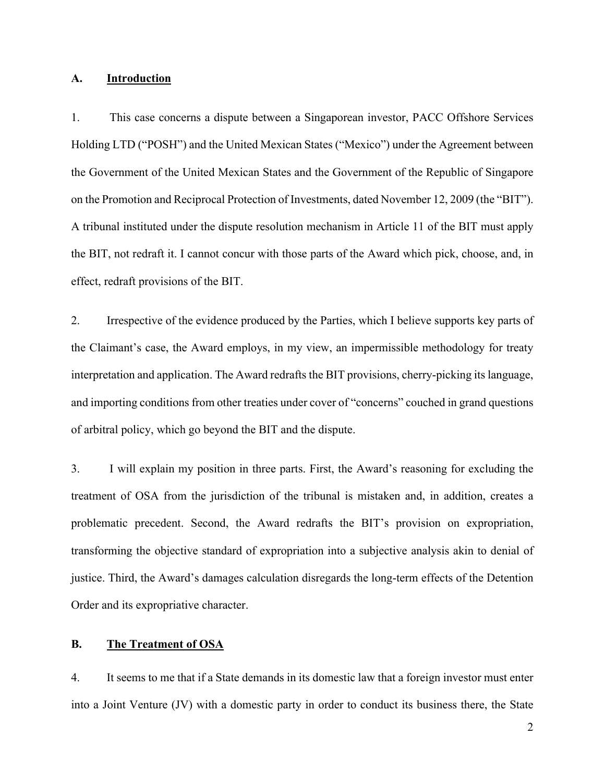#### **A. Introduction**

1. This case concerns a dispute between a Singaporean investor, PACC Offshore Services Holding LTD ("POSH") and the United Mexican States ("Mexico") under the Agreement between the Government of the United Mexican States and the Government of the Republic of Singapore on the Promotion and Reciprocal Protection of Investments, dated November 12, 2009 (the "BIT"). A tribunal instituted under the dispute resolution mechanism in Article 11 of the BIT must apply the BIT, not redraft it. I cannot concur with those parts of the Award which pick, choose, and, in effect, redraft provisions of the BIT.

2. Irrespective of the evidence produced by the Parties, which I believe supports key parts of the Claimant's case, the Award employs, in my view, an impermissible methodology for treaty interpretation and application. The Award redrafts the BIT provisions, cherry-picking its language, and importing conditions from other treaties under cover of "concerns" couched in grand questions of arbitral policy, which go beyond the BIT and the dispute.

3. I will explain my position in three parts. First, the Award's reasoning for excluding the treatment of OSA from the jurisdiction of the tribunal is mistaken and, in addition, creates a problematic precedent. Second, the Award redrafts the BIT's provision on expropriation, transforming the objective standard of expropriation into a subjective analysis akin to denial of justice. Third, the Award's damages calculation disregards the long-term effects of the Detention Order and its expropriative character.

### **B. The Treatment of OSA**

4. It seems to me that if a State demands in its domestic law that a foreign investor must enter into a Joint Venture (JV) with a domestic party in order to conduct its business there, the State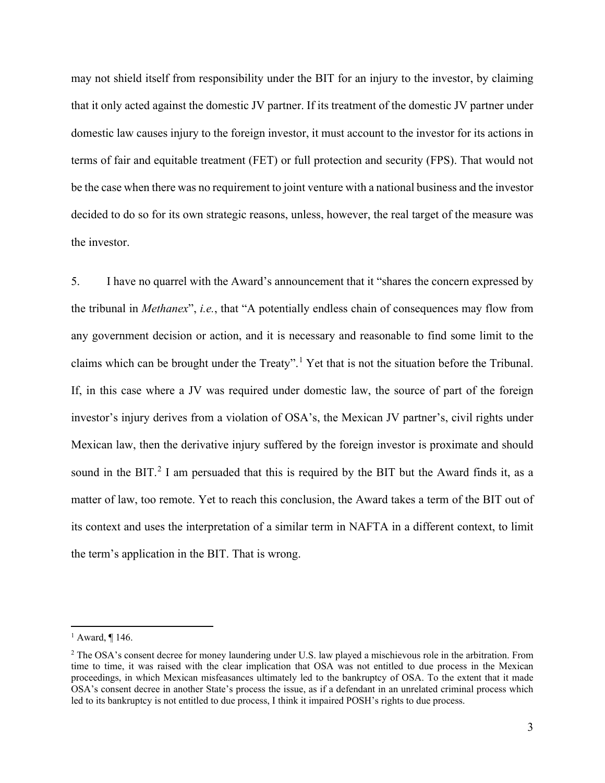may not shield itself from responsibility under the BIT for an injury to the investor, by claiming that it only acted against the domestic JV partner. If its treatment of the domestic JV partner under domestic law causes injury to the foreign investor, it must account to the investor for its actions in terms of fair and equitable treatment (FET) or full protection and security (FPS). That would not be the case when there was no requirement to joint venture with a national business and the investor decided to do so for its own strategic reasons, unless, however, the real target of the measure was the investor.

5. I have no quarrel with the Award's announcement that it "shares the concern expressed by the tribunal in *Methanex*", *i.e.*, that "A potentially endless chain of consequences may flow from any government decision or action, and it is necessary and reasonable to find some limit to the claims which can be brought under the Treaty".[1](#page-2-0) Yet that is not the situation before the Tribunal. If, in this case where a JV was required under domestic law, the source of part of the foreign investor's injury derives from a violation of OSA's, the Mexican JV partner's, civil rights under Mexican law, then the derivative injury suffered by the foreign investor is proximate and should sound in the BIT.<sup>[2](#page-2-1)</sup> I am persuaded that this is required by the BIT but the Award finds it, as a matter of law, too remote. Yet to reach this conclusion, the Award takes a term of the BIT out of its context and uses the interpretation of a similar term in NAFTA in a different context, to limit the term's application in the BIT. That is wrong.

<span id="page-2-0"></span> $<sup>1</sup>$  Award, ¶ 146.</sup>

<span id="page-2-1"></span><sup>&</sup>lt;sup>2</sup> The OSA's consent decree for money laundering under U.S. law played a mischievous role in the arbitration. From time to time, it was raised with the clear implication that OSA was not entitled to due process in the Mexican proceedings, in which Mexican misfeasances ultimately led to the bankruptcy of OSA. To the extent that it made OSA's consent decree in another State's process the issue, as if a defendant in an unrelated criminal process which led to its bankruptcy is not entitled to due process, I think it impaired POSH's rights to due process.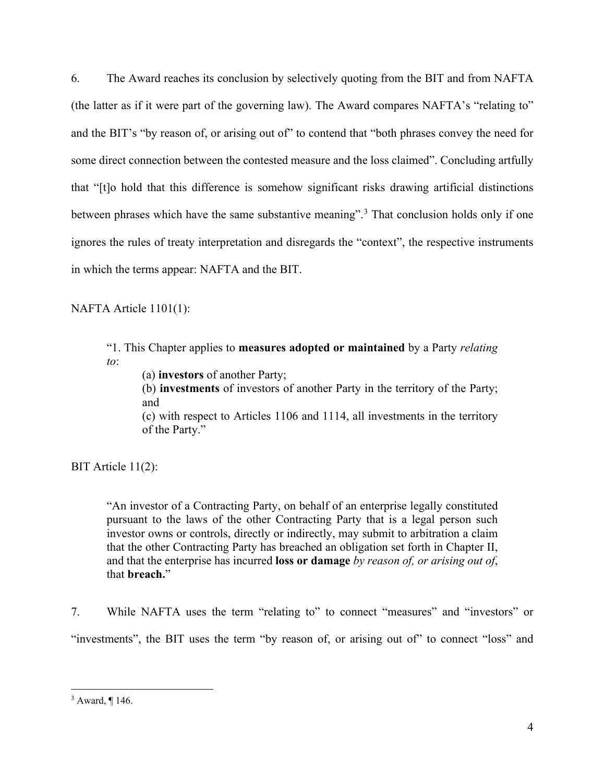6. The Award reaches its conclusion by selectively quoting from the BIT and from NAFTA (the latter as if it were part of the governing law). The Award compares NAFTA's "relating to" and the BIT's "by reason of, or arising out of" to contend that "both phrases convey the need for some direct connection between the contested measure and the loss claimed". Concluding artfully that "[t]o hold that this difference is somehow significant risks drawing artificial distinctions between phrases which have the same substantive meaning".<sup>[3](#page-3-0)</sup> That conclusion holds only if one ignores the rules of treaty interpretation and disregards the "context", the respective instruments in which the terms appear: NAFTA and the BIT.

NAFTA Article 1101(1):

"1. This Chapter applies to **measures adopted or maintained** by a Party *relating to*:

(a) **investors** of another Party;

(b) **investments** of investors of another Party in the territory of the Party; and

(c) with respect to Articles 1106 and 1114, all investments in the territory of the Party."

BIT Article 11(2):

"An investor of a Contracting Party, on behalf of an enterprise legally constituted pursuant to the laws of the other Contracting Party that is a legal person such investor owns or controls, directly or indirectly, may submit to arbitration a claim that the other Contracting Party has breached an obligation set forth in Chapter II, and that the enterprise has incurred **loss or damage** *by reason of, or arising out of*, that **breach.**"

7. While NAFTA uses the term "relating to" to connect "measures" and "investors" or "investments", the BIT uses the term "by reason of, or arising out of" to connect "loss" and

<span id="page-3-0"></span><sup>3</sup> Award, ¶ 146.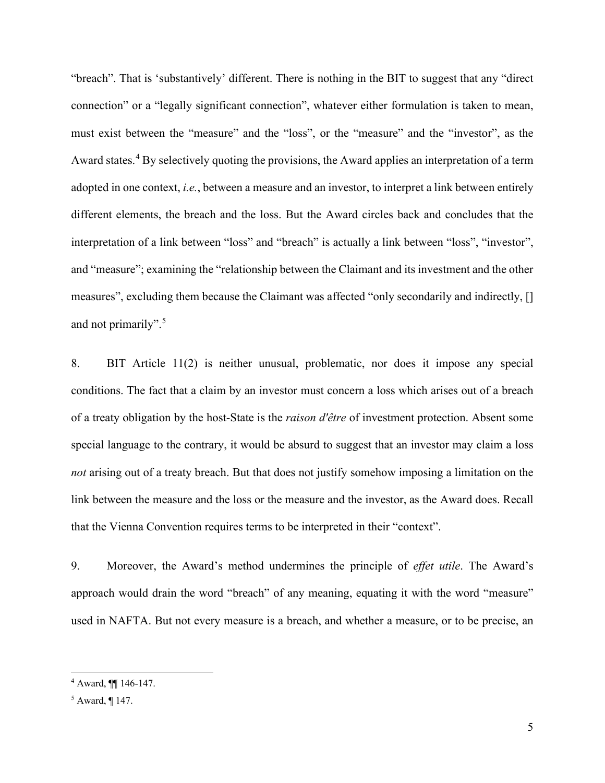"breach". That is 'substantively' different. There is nothing in the BIT to suggest that any "direct connection" or a "legally significant connection", whatever either formulation is taken to mean, must exist between the "measure" and the "loss", or the "measure" and the "investor", as the Award states.<sup>[4](#page-4-0)</sup> By selectively quoting the provisions, the Award applies an interpretation of a term adopted in one context, *i.e.*, between a measure and an investor, to interpret a link between entirely different elements, the breach and the loss. But the Award circles back and concludes that the interpretation of a link between "loss" and "breach" is actually a link between "loss", "investor", and "measure"; examining the "relationship between the Claimant and its investment and the other measures", excluding them because the Claimant was affected "only secondarily and indirectly, [] and not primarily".<sup>[5](#page-4-1)</sup>

8. BIT Article 11(2) is neither unusual, problematic, nor does it impose any special conditions. The fact that a claim by an investor must concern a loss which arises out of a breach of a treaty obligation by the host-State is the *raison d'être* of investment protection. Absent some special language to the contrary, it would be absurd to suggest that an investor may claim a loss *not* arising out of a treaty breach. But that does not justify somehow imposing a limitation on the link between the measure and the loss or the measure and the investor, as the Award does. Recall that the Vienna Convention requires terms to be interpreted in their "context".

9. Moreover, the Award's method undermines the principle of *effet utile*. The Award's approach would drain the word "breach" of any meaning, equating it with the word "measure" used in NAFTA. But not every measure is a breach, and whether a measure, or to be precise, an

<span id="page-4-0"></span><sup>4</sup> Award, ¶¶ 146-147.

<span id="page-4-1"></span><sup>5</sup> Award, ¶ 147.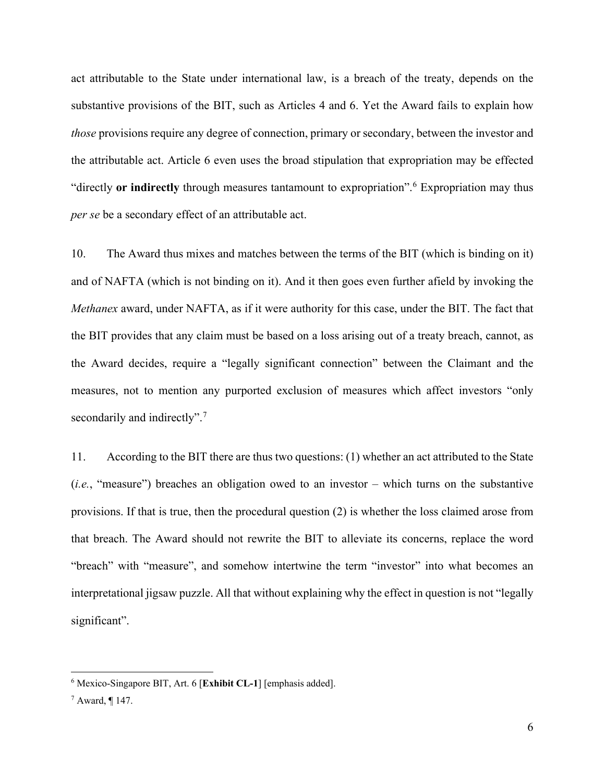act attributable to the State under international law, is a breach of the treaty, depends on the substantive provisions of the BIT, such as Articles 4 and 6. Yet the Award fails to explain how *those* provisions require any degree of connection, primary or secondary, between the investor and the attributable act. Article 6 even uses the broad stipulation that expropriation may be effected "directly **or indirectly** through measures tantamount to expropriation".[6](#page-5-0) Expropriation may thus *per se* be a secondary effect of an attributable act.

10. The Award thus mixes and matches between the terms of the BIT (which is binding on it) and of NAFTA (which is not binding on it). And it then goes even further afield by invoking the *Methanex* award, under NAFTA, as if it were authority for this case, under the BIT. The fact that the BIT provides that any claim must be based on a loss arising out of a treaty breach, cannot, as the Award decides, require a "legally significant connection" between the Claimant and the measures, not to mention any purported exclusion of measures which affect investors "only secondarily and indirectly".<sup>[7](#page-5-1)</sup>

11. According to the BIT there are thus two questions: (1) whether an act attributed to the State (*i.e.*, "measure") breaches an obligation owed to an investor – which turns on the substantive provisions. If that is true, then the procedural question (2) is whether the loss claimed arose from that breach. The Award should not rewrite the BIT to alleviate its concerns, replace the word "breach" with "measure", and somehow intertwine the term "investor" into what becomes an interpretational jigsaw puzzle. All that without explaining why the effect in question is not "legally significant".

<span id="page-5-0"></span><sup>6</sup> Mexico-Singapore BIT, Art. 6 [**Exhibit CL-1**] [emphasis added].

<span id="page-5-1"></span> $^7$  Award, ¶ 147.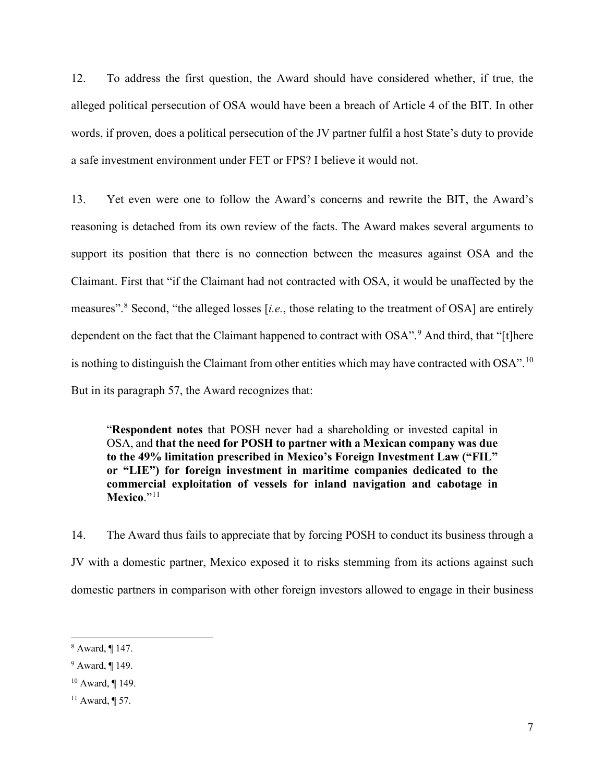12. To address the first question, the Award should have considered whether, if true, the alleged political persecution of OSA would have been a breach of Article 4 of the BIT. In other words, if proven, does a political persecution of the JV partner fulfil a host State's duty to provide a safe investment environment under FET or FPS? I believe it would not.

13. Yet even were one to follow the Award's concerns and rewrite the BIT, the Award's reasoning is detached from its own review of the facts. The Award makes several arguments to support its position that there is no connection between the measures against OSA and the Claimant. First that "if the Claimant had not contracted with OSA, it would be unaffected by the measures". [8](#page-6-0) Second, "the alleged losses [*i.e.*, those relating to the treatment of OSA] are entirely dependent on the fact that the Claimant happened to contract with OSA".<sup>[9](#page-6-1)</sup> And third, that "[t]here is nothing to distinguish the Claimant from other entities which may have contracted with OSA".<sup>[10](#page-6-2)</sup> But in its paragraph 57, the Award recognizes that:

"**Respondent notes** that POSH never had a shareholding or invested capital in OSA, and **that the need for POSH to partner with a Mexican company was due to the 49% limitation prescribed in Mexico's Foreign Investment Law ("FIL" or "LIE") for foreign investment in maritime companies dedicated to the commercial exploitation of vessels for inland navigation and cabotage in Mexico**."[11](#page-6-3)

14. The Award thus fails to appreciate that by forcing POSH to conduct its business through a JV with a domestic partner, Mexico exposed it to risks stemming from its actions against such domestic partners in comparison with other foreign investors allowed to engage in their business

<span id="page-6-0"></span><sup>8</sup> Award, ¶ 147.

<span id="page-6-1"></span><sup>9</sup> Award, ¶ 149.

<span id="page-6-2"></span><sup>10</sup> Award, ¶ 149.

<span id="page-6-3"></span><sup>&</sup>lt;sup>11</sup> Award, ¶ 57.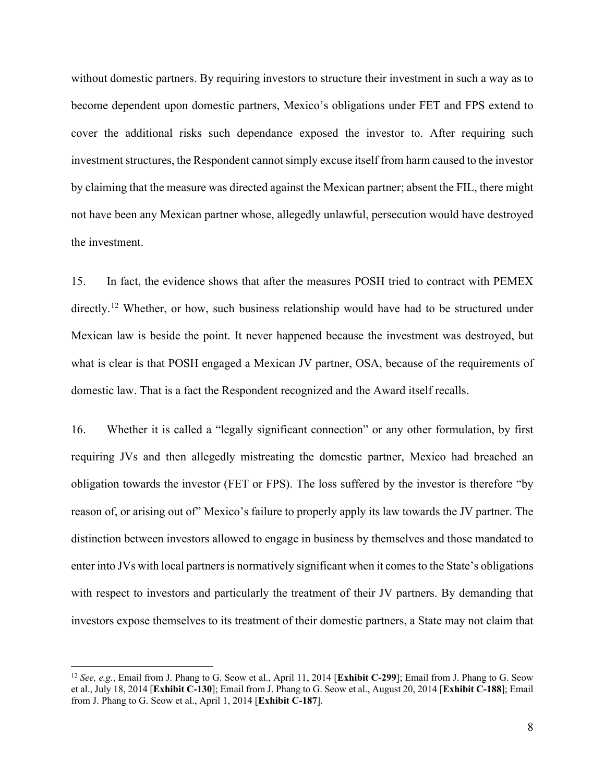without domestic partners. By requiring investors to structure their investment in such a way as to become dependent upon domestic partners, Mexico's obligations under FET and FPS extend to cover the additional risks such dependance exposed the investor to. After requiring such investment structures, the Respondent cannot simply excuse itself from harm caused to the investor by claiming that the measure was directed against the Mexican partner; absent the FIL, there might not have been any Mexican partner whose, allegedly unlawful, persecution would have destroyed the investment.

15. In fact, the evidence shows that after the measures POSH tried to contract with PEMEX directly.<sup>[12](#page-7-0)</sup> Whether, or how, such business relationship would have had to be structured under Mexican law is beside the point. It never happened because the investment was destroyed, but what is clear is that POSH engaged a Mexican JV partner, OSA, because of the requirements of domestic law. That is a fact the Respondent recognized and the Award itself recalls.

16. Whether it is called a "legally significant connection" or any other formulation, by first requiring JVs and then allegedly mistreating the domestic partner, Mexico had breached an obligation towards the investor (FET or FPS). The loss suffered by the investor is therefore "by reason of, or arising out of" Mexico's failure to properly apply its law towards the JV partner. The distinction between investors allowed to engage in business by themselves and those mandated to enter into JVs with local partners is normatively significant when it comes to the State's obligations with respect to investors and particularly the treatment of their JV partners. By demanding that investors expose themselves to its treatment of their domestic partners, a State may not claim that

<span id="page-7-0"></span><sup>12</sup> *See, e.g.*, Email from J. Phang to G. Seow et al., April 11, 2014 [**Exhibit C-299**]; Email from J. Phang to G. Seow et al., July 18, 2014 [**Exhibit C-130**]; Email from J. Phang to G. Seow et al., August 20, 2014 [**Exhibit C-188**]; Email from J. Phang to G. Seow et al., April 1, 2014 [**Exhibit C-187**].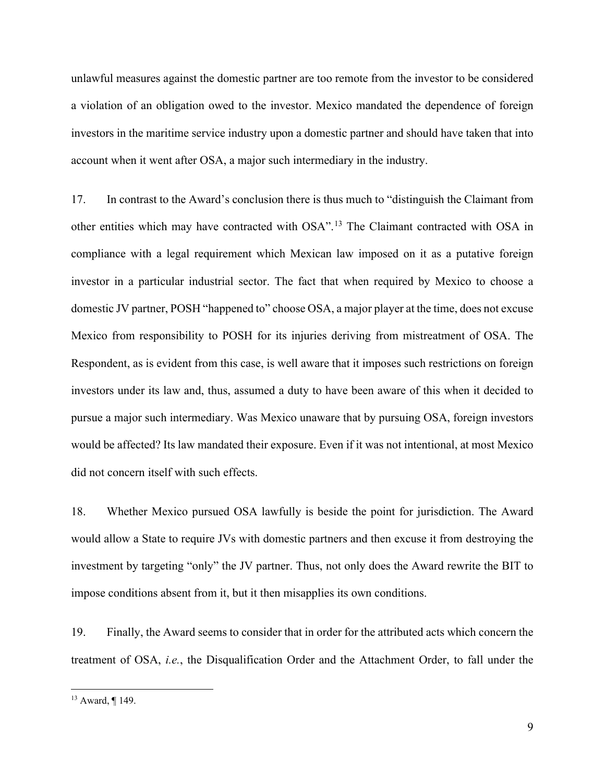unlawful measures against the domestic partner are too remote from the investor to be considered a violation of an obligation owed to the investor. Mexico mandated the dependence of foreign investors in the maritime service industry upon a domestic partner and should have taken that into account when it went after OSA, a major such intermediary in the industry.

17. In contrast to the Award's conclusion there is thus much to "distinguish the Claimant from other entities which may have contracted with OSA".[13](#page-8-0) The Claimant contracted with OSA in compliance with a legal requirement which Mexican law imposed on it as a putative foreign investor in a particular industrial sector. The fact that when required by Mexico to choose a domestic JV partner, POSH "happened to" choose OSA, a major player at the time, does not excuse Mexico from responsibility to POSH for its injuries deriving from mistreatment of OSA. The Respondent, as is evident from this case, is well aware that it imposes such restrictions on foreign investors under its law and, thus, assumed a duty to have been aware of this when it decided to pursue a major such intermediary. Was Mexico unaware that by pursuing OSA, foreign investors would be affected? Its law mandated their exposure. Even if it was not intentional, at most Mexico did not concern itself with such effects.

18. Whether Mexico pursued OSA lawfully is beside the point for jurisdiction. The Award would allow a State to require JVs with domestic partners and then excuse it from destroying the investment by targeting "only" the JV partner. Thus, not only does the Award rewrite the BIT to impose conditions absent from it, but it then misapplies its own conditions.

19. Finally, the Award seems to consider that in order for the attributed acts which concern the treatment of OSA, *i.e.*, the Disqualification Order and the Attachment Order, to fall under the

<span id="page-8-0"></span><sup>13</sup> Award, ¶ 149.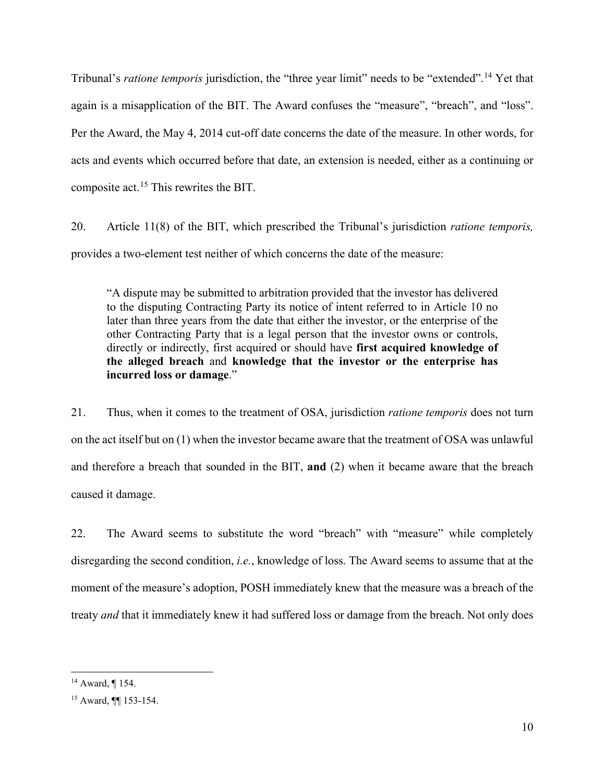Tribunal's *ratione temporis* jurisdiction, the "three year limit" needs to be "extended".[14](#page-9-0) Yet that again is a misapplication of the BIT. The Award confuses the "measure", "breach", and "loss". Per the Award, the May 4, 2014 cut-off date concerns the date of the measure. In other words, for acts and events which occurred before that date, an extension is needed, either as a continuing or composite act.[15](#page-9-1) This rewrites the BIT.

20. Article 11(8) of the BIT, which prescribed the Tribunal's jurisdiction *ratione temporis,* provides a two-element test neither of which concerns the date of the measure:

"A dispute may be submitted to arbitration provided that the investor has delivered to the disputing Contracting Party its notice of intent referred to in Article 10 no later than three years from the date that either the investor, or the enterprise of the other Contracting Party that is a legal person that the investor owns or controls, directly or indirectly, first acquired or should have **first acquired knowledge of the alleged breach** and **knowledge that the investor or the enterprise has incurred loss or damage**."

21. Thus, when it comes to the treatment of OSA, jurisdiction *ratione temporis* does not turn on the act itself but on (1) when the investor became aware that the treatment of OSA was unlawful and therefore a breach that sounded in the BIT, **and** (2) when it became aware that the breach caused it damage.

22. The Award seems to substitute the word "breach" with "measure" while completely disregarding the second condition, *i.e.*, knowledge of loss. The Award seems to assume that at the moment of the measure's adoption, POSH immediately knew that the measure was a breach of the treaty *and* that it immediately knew it had suffered loss or damage from the breach. Not only does

<span id="page-9-0"></span><sup>14</sup> Award, ¶ 154.

<span id="page-9-1"></span><sup>15</sup> Award, ¶¶ 153-154.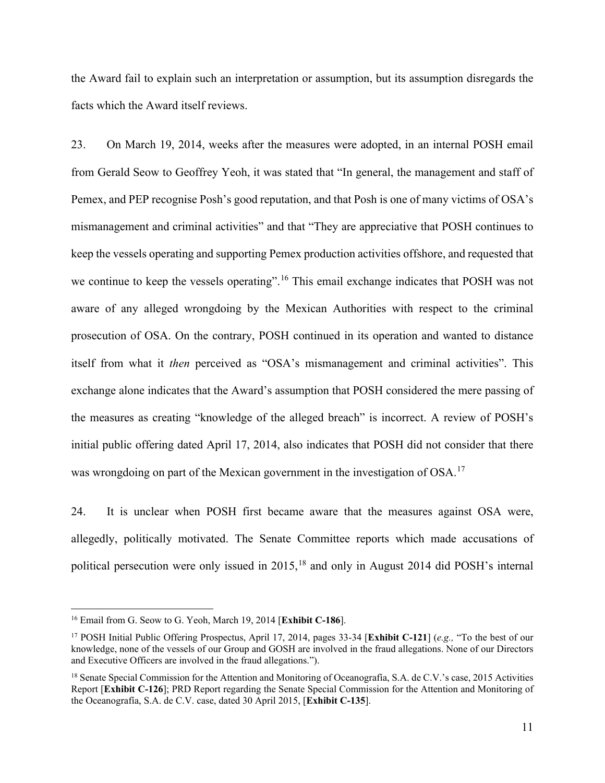the Award fail to explain such an interpretation or assumption, but its assumption disregards the facts which the Award itself reviews.

23. On March 19, 2014, weeks after the measures were adopted, in an internal POSH email from Gerald Seow to Geoffrey Yeoh, it was stated that "In general, the management and staff of Pemex, and PEP recognise Posh's good reputation, and that Posh is one of many victims of OSA's mismanagement and criminal activities" and that "They are appreciative that POSH continues to keep the vessels operating and supporting Pemex production activities offshore, and requested that we continue to keep the vessels operating".<sup>[16](#page-10-0)</sup> This email exchange indicates that POSH was not aware of any alleged wrongdoing by the Mexican Authorities with respect to the criminal prosecution of OSA. On the contrary, POSH continued in its operation and wanted to distance itself from what it *then* perceived as "OSA's mismanagement and criminal activities". This exchange alone indicates that the Award's assumption that POSH considered the mere passing of the measures as creating "knowledge of the alleged breach" is incorrect. A review of POSH's initial public offering dated April 17, 2014, also indicates that POSH did not consider that there was wrongdoing on part of the Mexican government in the investigation of OSA.<sup>[17](#page-10-1)</sup>

24. It is unclear when POSH first became aware that the measures against OSA were, allegedly, politically motivated. The Senate Committee reports which made accusations of political persecution were only issued in 2015,<sup>[18](#page-10-2)</sup> and only in August 2014 did POSH's internal

<span id="page-10-0"></span><sup>16</sup> Email from G. Seow to G. Yeoh, March 19, 2014 [**Exhibit C-186**].

<span id="page-10-1"></span><sup>17</sup> POSH Initial Public Offering Prospectus, April 17, 2014, pages 33-34 [**Exhibit C-121**] (*e.g.,* "To the best of our knowledge, none of the vessels of our Group and GOSH are involved in the fraud allegations. None of our Directors and Executive Officers are involved in the fraud allegations.").

<span id="page-10-2"></span><sup>&</sup>lt;sup>18</sup> Senate Special Commission for the Attention and Monitoring of Oceanografía, S.A. de C.V.'s case, 2015 Activities Report [**Exhibit C-126**]; PRD Report regarding the Senate Special Commission for the Attention and Monitoring of the Oceanografía, S.A. de C.V. case, dated 30 April 2015, [**Exhibit C-135**].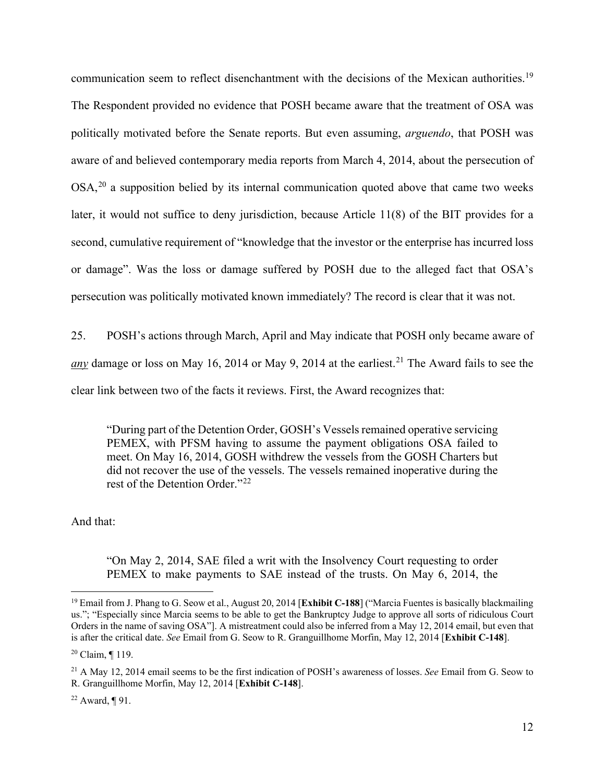communication seem to reflect disenchantment with the decisions of the Mexican authorities.<sup>[19](#page-11-0)</sup> The Respondent provided no evidence that POSH became aware that the treatment of OSA was politically motivated before the Senate reports. But even assuming, *arguendo*, that POSH was aware of and believed contemporary media reports from March 4, 2014, about the persecution of OSA,<sup>[20](#page-11-1)</sup> a supposition belied by its internal communication quoted above that came two weeks later, it would not suffice to deny jurisdiction, because Article 11(8) of the BIT provides for a second, cumulative requirement of "knowledge that the investor or the enterprise has incurred loss or damage". Was the loss or damage suffered by POSH due to the alleged fact that OSA's persecution was politically motivated known immediately? The record is clear that it was not.

25. POSH's actions through March, April and May indicate that POSH only became aware of *any* damage or loss on May 16, 2014 or May 9, 2014 at the earliest.<sup>[21](#page-11-2)</sup> The Award fails to see the clear link between two of the facts it reviews. First, the Award recognizes that:

"During part of the Detention Order, GOSH's Vessels remained operative servicing PEMEX, with PFSM having to assume the payment obligations OSA failed to meet. On May 16, 2014, GOSH withdrew the vessels from the GOSH Charters but did not recover the use of the vessels. The vessels remained inoperative during the rest of the Detention Order."[22](#page-11-3)

And that:

"On May 2, 2014, SAE filed a writ with the Insolvency Court requesting to order PEMEX to make payments to SAE instead of the trusts. On May 6, 2014, the

<span id="page-11-0"></span><sup>19</sup> Email from J. Phang to G. Seow et al., August 20, 2014 [**Exhibit C-188**] ("Marcia Fuentes is basically blackmailing us."; "Especially since Marcia seems to be able to get the Bankruptcy Judge to approve all sorts of ridiculous Court Orders in the name of saving OSA"]. A mistreatment could also be inferred from a May 12, 2014 email, but even that is after the critical date. *See* Email from G. Seow to R. Granguillhome Morfin, May 12, 2014 [**Exhibit C-148**].

<span id="page-11-1"></span><sup>20</sup> Claim, ¶ 119.

<span id="page-11-2"></span><sup>21</sup> A May 12, 2014 email seems to be the first indication of POSH's awareness of losses. *See* Email from G. Seow to R. Granguillhome Morfin, May 12, 2014 [**Exhibit C-148**].

<span id="page-11-3"></span><sup>&</sup>lt;sup>22</sup> Award, ¶ 91.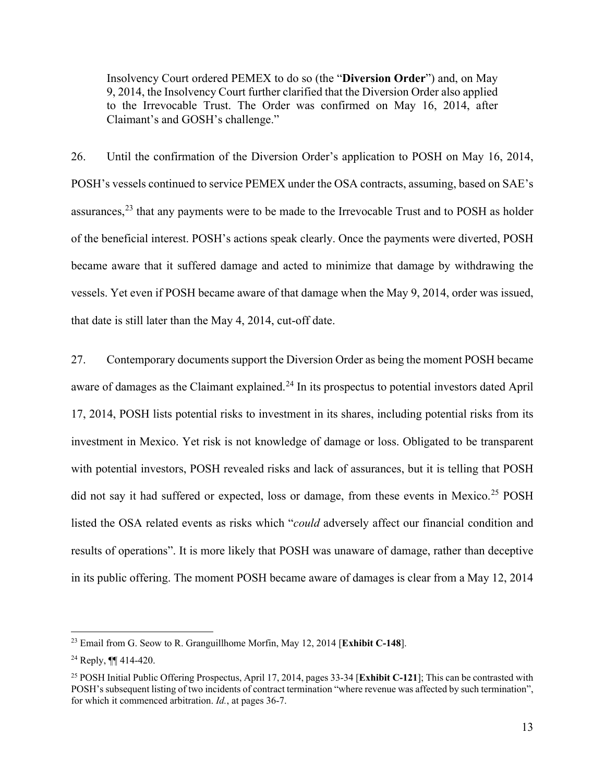Insolvency Court ordered PEMEX to do so (the "**Diversion Order**") and, on May 9, 2014, the Insolvency Court further clarified that the Diversion Order also applied to the Irrevocable Trust. The Order was confirmed on May 16, 2014, after Claimant's and GOSH's challenge."

26. Until the confirmation of the Diversion Order's application to POSH on May 16, 2014, POSH's vessels continued to service PEMEX under the OSA contracts, assuming, based on SAE's assurances,<sup>[23](#page-12-0)</sup> that any payments were to be made to the Irrevocable Trust and to POSH as holder of the beneficial interest. POSH's actions speak clearly. Once the payments were diverted, POSH became aware that it suffered damage and acted to minimize that damage by withdrawing the vessels. Yet even if POSH became aware of that damage when the May 9, 2014, order was issued, that date is still later than the May 4, 2014, cut-off date.

27. Contemporary documents support the Diversion Order as being the moment POSH became aware of damages as the Claimant explained.<sup>[24](#page-12-1)</sup> In its prospectus to potential investors dated April 17, 2014, POSH lists potential risks to investment in its shares, including potential risks from its investment in Mexico. Yet risk is not knowledge of damage or loss. Obligated to be transparent with potential investors, POSH revealed risks and lack of assurances, but it is telling that POSH did not say it had suffered or expected, loss or damage, from these events in Mexico.<sup>[25](#page-12-2)</sup> POSH listed the OSA related events as risks which "*could* adversely affect our financial condition and results of operations". It is more likely that POSH was unaware of damage, rather than deceptive in its public offering. The moment POSH became aware of damages is clear from a May 12, 2014

<span id="page-12-0"></span><sup>23</sup> Email from G. Seow to R. Granguillhome Morfin, May 12, 2014 [**Exhibit C-148**].

<span id="page-12-1"></span><sup>24</sup> Reply, ¶¶ 414-420.

<span id="page-12-2"></span><sup>25</sup> POSH Initial Public Offering Prospectus, April 17, 2014, pages 33-34 [**Exhibit C-121**]; This can be contrasted with POSH's subsequent listing of two incidents of contract termination "where revenue was affected by such termination", for which it commenced arbitration. *Id.*, at pages 36-7.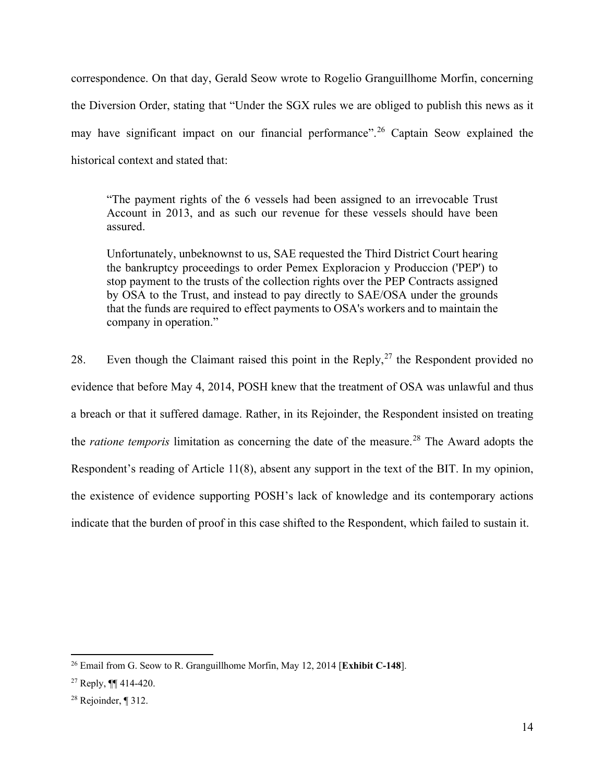correspondence. On that day, Gerald Seow wrote to Rogelio Granguillhome Morfin, concerning the Diversion Order, stating that "Under the SGX rules we are obliged to publish this news as it may have significant impact on our financial performance".<sup>[26](#page-13-0)</sup> Captain Seow explained the historical context and stated that:

"The payment rights of the 6 vessels had been assigned to an irrevocable Trust Account in 2013, and as such our revenue for these vessels should have been assured.

Unfortunately, unbeknownst to us, SAE requested the Third District Court hearing the bankruptcy proceedings to order Pemex Exploracion y Produccion ('PEP') to stop payment to the trusts of the collection rights over the PEP Contracts assigned by OSA to the Trust, and instead to pay directly to SAE/OSA under the grounds that the funds are required to effect payments to OSA's workers and to maintain the company in operation."

28. Even though the Claimant raised this point in the Reply,  $27$  the Respondent provided no evidence that before May 4, 2014, POSH knew that the treatment of OSA was unlawful and thus a breach or that it suffered damage. Rather, in its Rejoinder, the Respondent insisted on treating the *ratione temporis* limitation as concerning the date of the measure. [28](#page-13-2) The Award adopts the Respondent's reading of Article 11(8), absent any support in the text of the BIT. In my opinion, the existence of evidence supporting POSH's lack of knowledge and its contemporary actions indicate that the burden of proof in this case shifted to the Respondent, which failed to sustain it.

<span id="page-13-0"></span><sup>26</sup> Email from G. Seow to R. Granguillhome Morfin, May 12, 2014 [**Exhibit C-148**].

<span id="page-13-1"></span> $27$  Reply,  $\P\P$  414-420.

<span id="page-13-2"></span><sup>28</sup> Rejoinder, ¶ 312.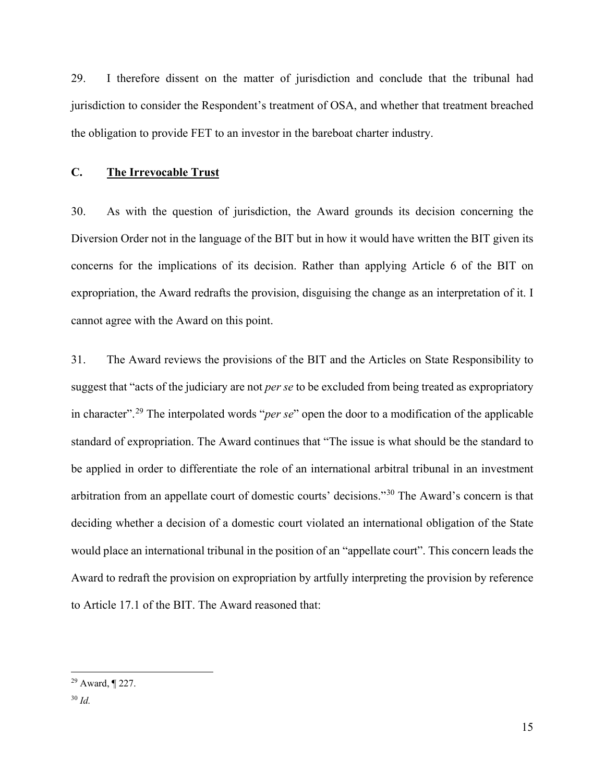29. I therefore dissent on the matter of jurisdiction and conclude that the tribunal had jurisdiction to consider the Respondent's treatment of OSA, and whether that treatment breached the obligation to provide FET to an investor in the bareboat charter industry.

### **C. The Irrevocable Trust**

30. As with the question of jurisdiction, the Award grounds its decision concerning the Diversion Order not in the language of the BIT but in how it would have written the BIT given its concerns for the implications of its decision. Rather than applying Article 6 of the BIT on expropriation, the Award redrafts the provision, disguising the change as an interpretation of it. I cannot agree with the Award on this point.

31. The Award reviews the provisions of the BIT and the Articles on State Responsibility to suggest that "acts of the judiciary are not *per se* to be excluded from being treated as expropriatory in character".[29](#page-14-0) The interpolated words "*per se*" open the door to a modification of the applicable standard of expropriation. The Award continues that "The issue is what should be the standard to be applied in order to differentiate the role of an international arbitral tribunal in an investment arbitration from an appellate court of domestic courts' decisions."[30](#page-14-1) The Award's concern is that deciding whether a decision of a domestic court violated an international obligation of the State would place an international tribunal in the position of an "appellate court". This concern leads the Award to redraft the provision on expropriation by artfully interpreting the provision by reference to Article 17.1 of the BIT. The Award reasoned that:

<span id="page-14-0"></span><sup>29</sup> Award, ¶ 227.

<span id="page-14-1"></span><sup>30</sup> *Id.*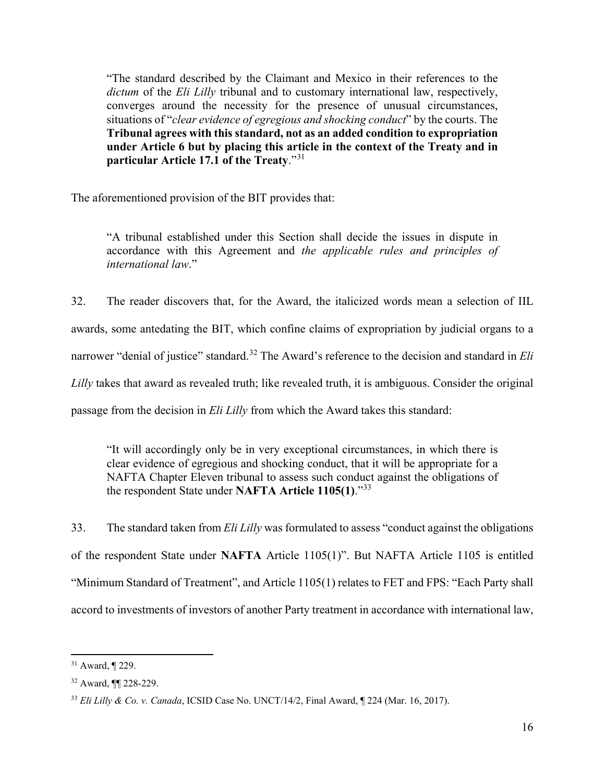"The standard described by the Claimant and Mexico in their references to the *dictum* of the *Eli Lilly* tribunal and to customary international law, respectively, converges around the necessity for the presence of unusual circumstances, situations of "*clear evidence of egregious and shocking conduct*" by the courts. The **Tribunal agrees with this standard, not as an added condition to expropriation under Article 6 but by placing this article in the context of the Treaty and in particular Article 17.1 of the Treaty**."[31](#page-15-0)

The aforementioned provision of the BIT provides that:

"A tribunal established under this Section shall decide the issues in dispute in accordance with this Agreement and *the applicable rules and principles of international law*."

32. The reader discovers that, for the Award, the italicized words mean a selection of IIL awards, some antedating the BIT, which confine claims of expropriation by judicial organs to a narrower "denial of justice" standard.[32](#page-15-1) The Award's reference to the decision and standard in *Eli Lilly* takes that award as revealed truth; like revealed truth, it is ambiguous. Consider the original passage from the decision in *Eli Lilly* from which the Award takes this standard:

"It will accordingly only be in very exceptional circumstances, in which there is clear evidence of egregious and shocking conduct, that it will be appropriate for a NAFTA Chapter Eleven tribunal to assess such conduct against the obligations of the respondent State under **NAFTA Article 1105(1)**."[33](#page-15-2)

33. The standard taken from *Eli Lilly* was formulated to assess "conduct against the obligations of the respondent State under **NAFTA** Article 1105(1)". But NAFTA Article 1105 is entitled "Minimum Standard of Treatment", and Article 1105(1) relates to FET and FPS: "Each Party shall accord to investments of investors of another Party treatment in accordance with international law,

<span id="page-15-0"></span><sup>31</sup> Award, ¶ 229.

<span id="page-15-1"></span><sup>32</sup> Award, ¶¶ 228-229.

<span id="page-15-2"></span><sup>33</sup> *Eli Lilly & Co. v. Canada*, ICSID Case No. UNCT/14/2, Final Award, ¶ 224 (Mar. 16, 2017).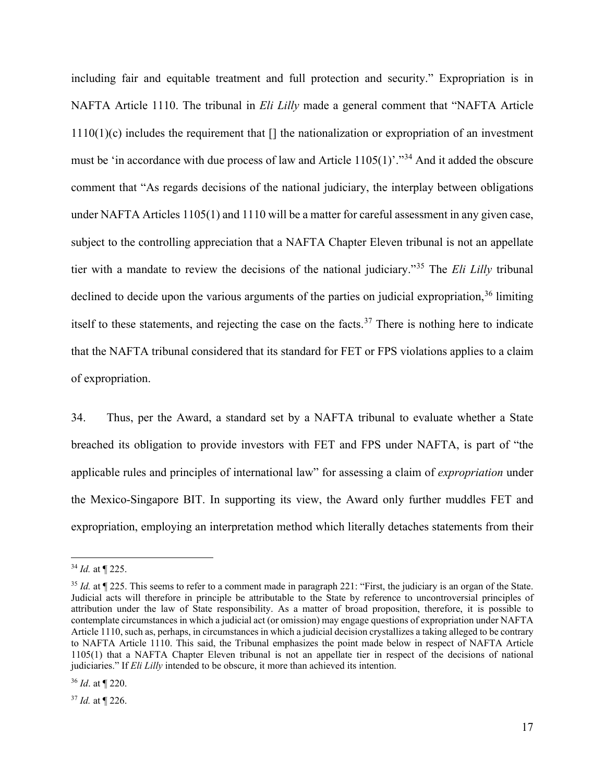including fair and equitable treatment and full protection and security." Expropriation is in NAFTA Article 1110. The tribunal in *Eli Lilly* made a general comment that "NAFTA Article 1110(1)(c) includes the requirement that [] the nationalization or expropriation of an investment must be 'in accordance with due process of law and Article  $1105(1)$ ".<sup>[34](#page-16-0)</sup> And it added the obscure comment that "As regards decisions of the national judiciary, the interplay between obligations under NAFTA Articles 1105(1) and 1110 will be a matter for careful assessment in any given case, subject to the controlling appreciation that a NAFTA Chapter Eleven tribunal is not an appellate tier with a mandate to review the decisions of the national judiciary."[35](#page-16-1) The *Eli Lilly* tribunal declined to decide upon the various arguments of the parties on judicial expropriation,  $36$  limiting itself to these statements, and rejecting the case on the facts.<sup>[37](#page-16-3)</sup> There is nothing here to indicate that the NAFTA tribunal considered that its standard for FET or FPS violations applies to a claim of expropriation.

34. Thus, per the Award, a standard set by a NAFTA tribunal to evaluate whether a State breached its obligation to provide investors with FET and FPS under NAFTA, is part of "the applicable rules and principles of international law" for assessing a claim of *expropriation* under the Mexico-Singapore BIT. In supporting its view, the Award only further muddles FET and expropriation, employing an interpretation method which literally detaches statements from their

<span id="page-16-0"></span><sup>34</sup> *Id.* at ¶ 225.

<span id="page-16-1"></span><sup>&</sup>lt;sup>35</sup> *Id.* at ¶ 225. This seems to refer to a comment made in paragraph 221: "First, the judiciary is an organ of the State. Judicial acts will therefore in principle be attributable to the State by reference to uncontroversial principles of attribution under the law of State responsibility. As a matter of broad proposition, therefore, it is possible to contemplate circumstances in which a judicial act (or omission) may engage questions of expropriation under NAFTA Article 1110, such as, perhaps, in circumstances in which a judicial decision crystallizes a taking alleged to be contrary to NAFTA Article 1110. This said, the Tribunal emphasizes the point made below in respect of NAFTA Article 1105(1) that a NAFTA Chapter Eleven tribunal is not an appellate tier in respect of the decisions of national judiciaries." If *Eli Lilly* intended to be obscure, it more than achieved its intention.

<span id="page-16-2"></span><sup>36</sup> *Id*. at ¶ 220.

<span id="page-16-3"></span><sup>37</sup> *Id.* at ¶ 226.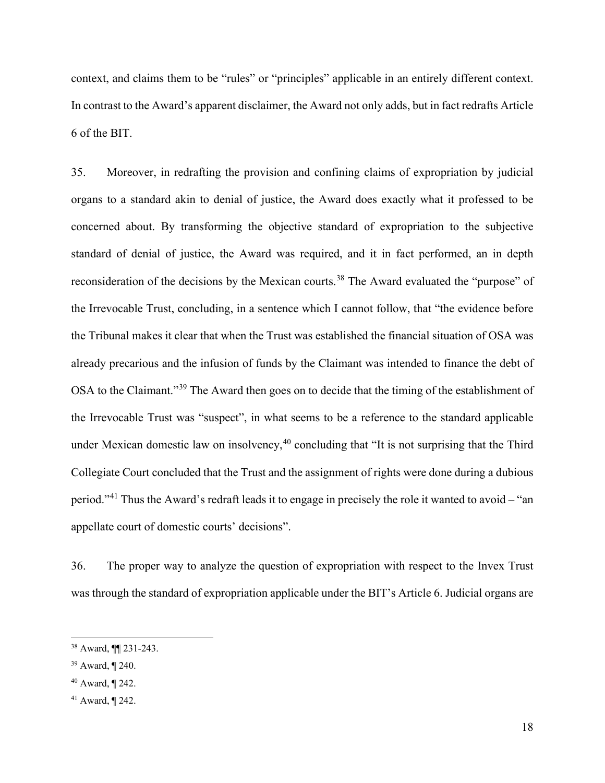context, and claims them to be "rules" or "principles" applicable in an entirely different context. In contrast to the Award's apparent disclaimer, the Award not only adds, but in fact redrafts Article 6 of the BIT.

35. Moreover, in redrafting the provision and confining claims of expropriation by judicial organs to a standard akin to denial of justice, the Award does exactly what it professed to be concerned about. By transforming the objective standard of expropriation to the subjective standard of denial of justice, the Award was required, and it in fact performed, an in depth reconsideration of the decisions by the Mexican courts.<sup>[38](#page-17-0)</sup> The Award evaluated the "purpose" of the Irrevocable Trust, concluding, in a sentence which I cannot follow, that "the evidence before the Tribunal makes it clear that when the Trust was established the financial situation of OSA was already precarious and the infusion of funds by the Claimant was intended to finance the debt of OSA to the Claimant."[39](#page-17-1) The Award then goes on to decide that the timing of the establishment of the Irrevocable Trust was "suspect", in what seems to be a reference to the standard applicable under Mexican domestic law on insolvency,  $40$  concluding that "It is not surprising that the Third Collegiate Court concluded that the Trust and the assignment of rights were done during a dubious period."[41](#page-17-3) Thus the Award's redraft leads it to engage in precisely the role it wanted to avoid – "an appellate court of domestic courts' decisions".

36. The proper way to analyze the question of expropriation with respect to the Invex Trust was through the standard of expropriation applicable under the BIT's Article 6. Judicial organs are

<span id="page-17-0"></span><sup>38</sup> Award, ¶¶ 231-243.

<span id="page-17-1"></span><sup>39</sup> Award, ¶ 240.

<span id="page-17-2"></span><sup>40</sup> Award, ¶ 242.

<span id="page-17-3"></span><sup>41</sup> Award, ¶ 242.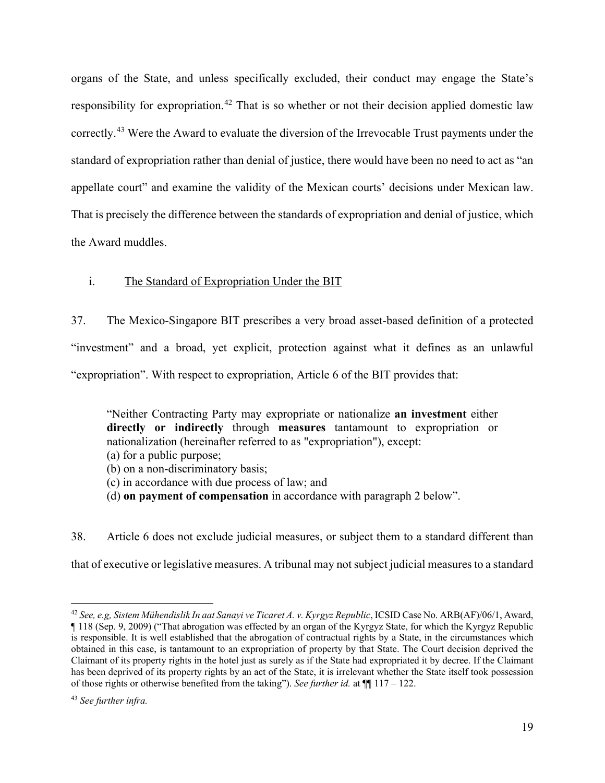organs of the State, and unless specifically excluded, their conduct may engage the State's responsibility for expropriation.<sup>[42](#page-18-0)</sup> That is so whether or not their decision applied domestic law correctly.<sup>[43](#page-18-1)</sup> Were the Award to evaluate the diversion of the Irrevocable Trust payments under the standard of expropriation rather than denial of justice, there would have been no need to act as "an appellate court" and examine the validity of the Mexican courts' decisions under Mexican law. That is precisely the difference between the standards of expropriation and denial of justice, which the Award muddles.

# i. The Standard of Expropriation Under the BIT

37. The Mexico-Singapore BIT prescribes a very broad asset-based definition of a protected "investment" and a broad, yet explicit, protection against what it defines as an unlawful "expropriation". With respect to expropriation, Article 6 of the BIT provides that:

"Neither Contracting Party may expropriate or nationalize **an investment** either **directly or indirectly** through **measures** tantamount to expropriation or nationalization (hereinafter referred to as "expropriation"), except: (a) for a public purpose; (b) on a non-discriminatory basis;

- (c) in accordance with due process of law; and
- (d) **on payment of compensation** in accordance with paragraph 2 below".

38. Article 6 does not exclude judicial measures, or subject them to a standard different than that of executive or legislative measures. A tribunal may not subject judicial measures to a standard

<span id="page-18-0"></span><sup>42</sup> *See, e.g, Sistem Mühendislik In aat Sanayi ve Ticaret A. v. Kyrgyz Republic*, ICSID Case No. ARB(AF)/06/1, Award, ¶ 118 (Sep. 9, 2009) ("That abrogation was effected by an organ of the Kyrgyz State, for which the Kyrgyz Republic is responsible. It is well established that the abrogation of contractual rights by a State, in the circumstances which obtained in this case, is tantamount to an expropriation of property by that State. The Court decision deprived the Claimant of its property rights in the hotel just as surely as if the State had expropriated it by decree. If the Claimant has been deprived of its property rights by an act of the State, it is irrelevant whether the State itself took possession of those rights or otherwise benefited from the taking"). *See further id.* at ¶¶ 117 – 122.

<span id="page-18-1"></span><sup>43</sup> *See further infra.*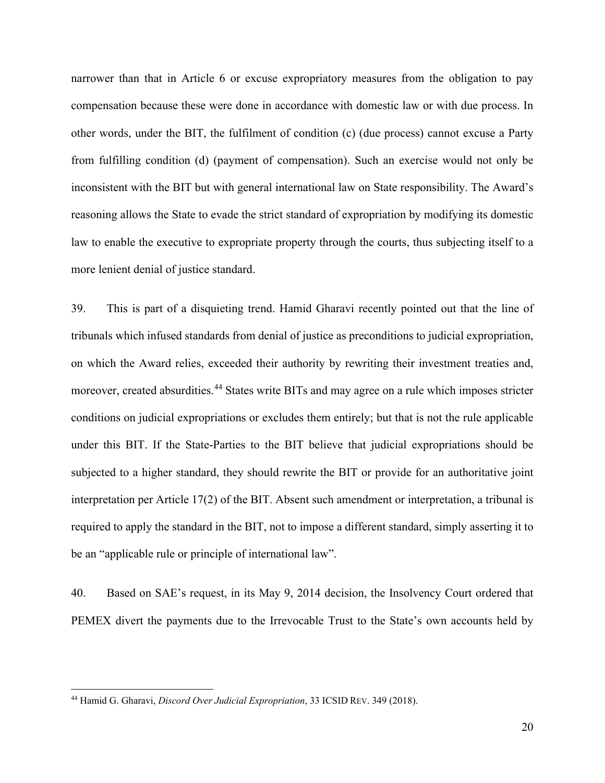narrower than that in Article 6 or excuse expropriatory measures from the obligation to pay compensation because these were done in accordance with domestic law or with due process. In other words, under the BIT, the fulfilment of condition (c) (due process) cannot excuse a Party from fulfilling condition (d) (payment of compensation). Such an exercise would not only be inconsistent with the BIT but with general international law on State responsibility. The Award's reasoning allows the State to evade the strict standard of expropriation by modifying its domestic law to enable the executive to expropriate property through the courts, thus subjecting itself to a more lenient denial of justice standard.

39. This is part of a disquieting trend. Hamid Gharavi recently pointed out that the line of tribunals which infused standards from denial of justice as preconditions to judicial expropriation, on which the Award relies, exceeded their authority by rewriting their investment treaties and, moreover, created absurdities.<sup>[44](#page-19-0)</sup> States write BITs and may agree on a rule which imposes stricter conditions on judicial expropriations or excludes them entirely; but that is not the rule applicable under this BIT. If the State-Parties to the BIT believe that judicial expropriations should be subjected to a higher standard, they should rewrite the BIT or provide for an authoritative joint interpretation per Article 17(2) of the BIT. Absent such amendment or interpretation, a tribunal is required to apply the standard in the BIT, not to impose a different standard, simply asserting it to be an "applicable rule or principle of international law".

40. Based on SAE's request, in its May 9, 2014 decision, the Insolvency Court ordered that PEMEX divert the payments due to the Irrevocable Trust to the State's own accounts held by

<span id="page-19-0"></span><sup>44</sup> Hamid G. Gharavi, *Discord Over Judicial Expropriation*, 33 ICSID REV. 349 (2018).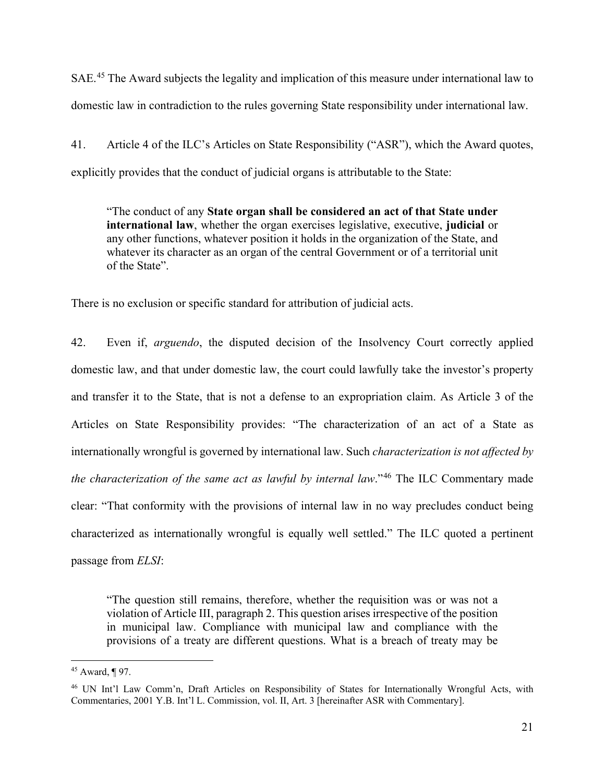SAE<sup>.[45](#page-20-0)</sup> The Award subjects the legality and implication of this measure under international law to domestic law in contradiction to the rules governing State responsibility under international law.

41. Article 4 of the ILC's Articles on State Responsibility ("ASR"), which the Award quotes, explicitly provides that the conduct of judicial organs is attributable to the State:

"The conduct of any **State organ shall be considered an act of that State under international law**, whether the organ exercises legislative, executive, **judicial** or any other functions, whatever position it holds in the organization of the State, and whatever its character as an organ of the central Government or of a territorial unit of the State".

There is no exclusion or specific standard for attribution of judicial acts.

42. Even if, *arguendo*, the disputed decision of the Insolvency Court correctly applied domestic law, and that under domestic law, the court could lawfully take the investor's property and transfer it to the State, that is not a defense to an expropriation claim. As Article 3 of the Articles on State Responsibility provides: "The characterization of an act of a State as internationally wrongful is governed by international law. Such *characterization is not affected by the characterization of the same act as lawful by internal law*."[46](#page-20-1) The ILC Commentary made clear: "That conformity with the provisions of internal law in no way precludes conduct being characterized as internationally wrongful is equally well settled." The ILC quoted a pertinent passage from *ELSI*:

<span id="page-20-2"></span>"The question still remains, therefore, whether the requisition was or was not a violation of Article III, paragraph 2. This question arises irrespective of the position in municipal law. Compliance with municipal law and compliance with the provisions of a treaty are different questions. What is a breach of treaty may be

<span id="page-20-0"></span><sup>45</sup> Award, ¶ 97.

<span id="page-20-1"></span><sup>46</sup> UN Int'l Law Comm'n, Draft Articles on Responsibility of States for Internationally Wrongful Acts, with Commentaries, 2001 Y.B. Int'l L. Commission, vol. II, Art. 3 [hereinafter ASR with Commentary].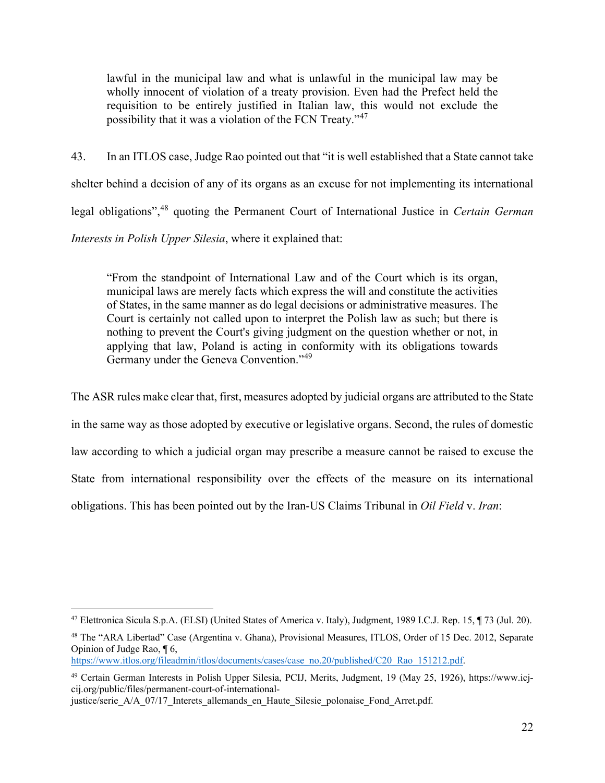lawful in the municipal law and what is unlawful in the municipal law may be wholly innocent of violation of a treaty provision. Even had the Prefect held the requisition to be entirely justified in Italian law, this would not exclude the possibility that it was a violation of the FCN Treaty."<sup>[47](#page-21-0)</sup>

43. In an ITLOS case, Judge Rao pointed out that "it is well established that a State cannot take shelter behind a decision of any of its organs as an excuse for not implementing its international legal obligations",[48](#page-21-1) quoting the Permanent Court of International Justice in *Certain German Interests in Polish Upper Silesia*, where it explained that:

"From the standpoint of International Law and of the Court which is its organ, municipal laws are merely facts which express the will and constitute the activities of States, in the same manner as do legal decisions or administrative measures. The Court is certainly not called upon to interpret the Polish law as such; but there is nothing to prevent the Court's giving judgment on the question whether or not, in applying that law, Poland is acting in conformity with its obligations towards Germany under the Geneva Convention."<sup>[49](#page-21-2)</sup>

The ASR rules make clear that, first, measures adopted by judicial organs are attributed to the State in the same way as those adopted by executive or legislative organs. Second, the rules of domestic law according to which a judicial organ may prescribe a measure cannot be raised to excuse the State from international responsibility over the effects of the measure on its international obligations. This has been pointed out by the Iran-US Claims Tribunal in *Oil Field* v. *Iran*:

<span id="page-21-0"></span><sup>47</sup> Elettronica Sicula S.p.A. (ELSI) (United States of America v. Italy), Judgment, 1989 I.C.J. Rep. 15, ¶ 73 (Jul. 20).

<span id="page-21-1"></span><sup>48</sup> The "ARA Libertad" Case (Argentina v. Ghana), Provisional Measures, ITLOS, Order of 15 Dec. 2012, Separate Opinion of Judge Rao, ¶ 6,

[https://www.itlos.org/fileadmin/itlos/documents/cases/case\\_no.20/published/C20\\_Rao\\_151212.pdf.](https://www.itlos.org/fileadmin/itlos/documents/cases/case_no.20/published/C20_Rao_151212.pdf)

<span id="page-21-2"></span><sup>49</sup> Certain German Interests in Polish Upper Silesia, PCIJ, Merits, Judgment, 19 (May 25, 1926), https://www.icjcij.org/public/files/permanent-court-of-international-

justice/serie A/A\_07/17\_Interets\_allemands\_en\_Haute\_Silesie\_polonaise\_Fond\_Arret.pdf.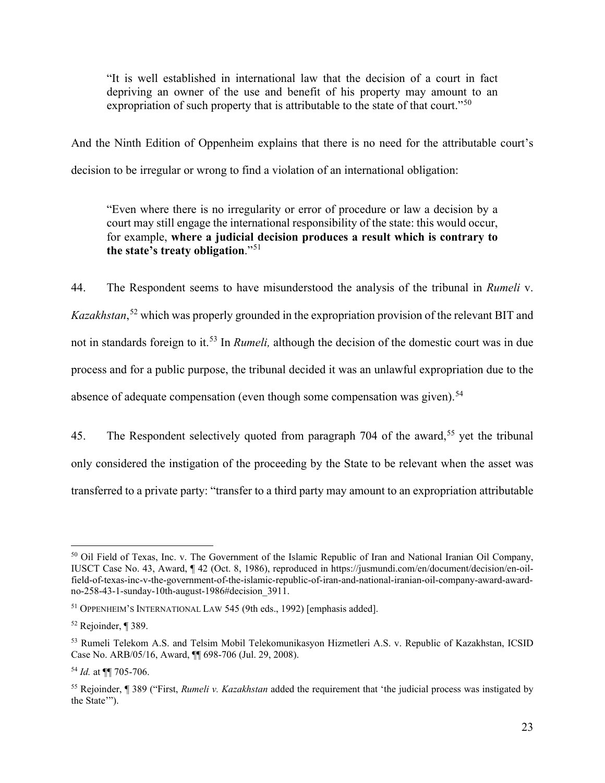"It is well established in international law that the decision of a court in fact depriving an owner of the use and benefit of his property may amount to an expropriation of such property that is attributable to the state of that court."<sup>[50](#page-22-0)</sup>

And the Ninth Edition of Oppenheim explains that there is no need for the attributable court's decision to be irregular or wrong to find a violation of an international obligation:

"Even where there is no irregularity or error of procedure or law a decision by a court may still engage the international responsibility of the state: this would occur, for example, **where a judicial decision produces a result which is contrary to the state's treaty obligation**."[51](#page-22-1)

44. The Respondent seems to have misunderstood the analysis of the tribunal in *Rumeli* v. *Kazakhstan*, [52](#page-22-2) which was properly grounded in the expropriation provision of the relevant BIT and not in standards foreign to it.[53](#page-22-3) In *Rumeli,* although the decision of the domestic court was in due process and for a public purpose, the tribunal decided it was an unlawful expropriation due to the absence of adequate compensation (even though some compensation was given).<sup>[54](#page-22-4)</sup>

45. The Respondent selectively quoted from paragraph 704 of the award,<sup>[55](#page-22-5)</sup> yet the tribunal only considered the instigation of the proceeding by the State to be relevant when the asset was transferred to a private party: "transfer to a third party may amount to an expropriation attributable

<span id="page-22-0"></span><sup>&</sup>lt;sup>50</sup> Oil Field of Texas, Inc. v. The Government of the Islamic Republic of Iran and National Iranian Oil Company, IUSCT Case No. 43, Award, ¶ 42 (Oct. 8, 1986), reproduced in https://jusmundi.com/en/document/decision/en-oilfield-of-texas-inc-v-the-government-of-the-islamic-republic-of-iran-and-national-iranian-oil-company-award-awardno-258-43-1-sunday-10th-august-1986#decision\_3911.

<span id="page-22-1"></span><sup>51</sup> OPPENHEIM'S INTERNATIONAL LAW 545 (9th eds., 1992) [emphasis added].

<span id="page-22-2"></span><sup>52</sup> Rejoinder, ¶ 389.

<span id="page-22-3"></span><sup>53</sup> Rumeli Telekom A.S. and Telsim Mobil Telekomunikasyon Hizmetleri A.S. v. Republic of Kazakhstan, ICSID Case No. ARB/05/16, Award, ¶¶ 698-706 (Jul. 29, 2008).

<span id="page-22-4"></span><sup>54</sup> *Id.* at ¶¶ 705-706.

<span id="page-22-5"></span><sup>55</sup> Rejoinder, ¶ 389 ("First, *Rumeli v. Kazakhstan* added the requirement that 'the judicial process was instigated by the State'").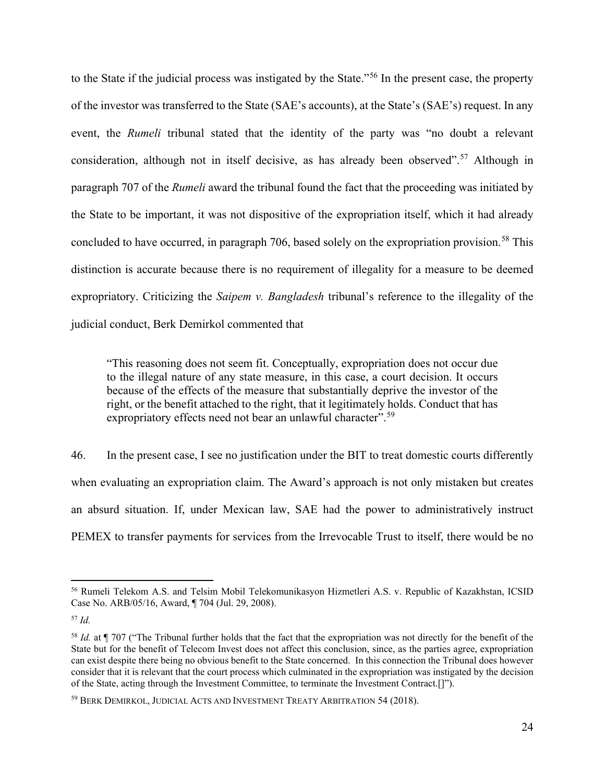to the State if the judicial process was instigated by the State."[56](#page-23-0) In the present case, the property of the investor was transferred to the State (SAE's accounts), at the State's (SAE's) request. In any event, the *Rumeli* tribunal stated that the identity of the party was "no doubt a relevant consideration, although not in itself decisive, as has already been observed".<sup>[57](#page-23-1)</sup> Although in paragraph 707 of the *Rumeli* award the tribunal found the fact that the proceeding was initiated by the State to be important, it was not dispositive of the expropriation itself, which it had already concluded to have occurred, in paragraph 706, based solely on the expropriation provision.<sup>[58](#page-23-2)</sup> This distinction is accurate because there is no requirement of illegality for a measure to be deemed expropriatory. Criticizing the *Saipem v. Bangladesh* tribunal's reference to the illegality of the judicial conduct, Berk Demirkol commented that

"This reasoning does not seem fit. Conceptually, expropriation does not occur due to the illegal nature of any state measure, in this case, a court decision. It occurs because of the effects of the measure that substantially deprive the investor of the right, or the benefit attached to the right, that it legitimately holds. Conduct that has expropriatory effects need not bear an unlawful character".<sup>[59](#page-23-3)</sup>

46. In the present case, I see no justification under the BIT to treat domestic courts differently when evaluating an expropriation claim. The Award's approach is not only mistaken but creates an absurd situation. If, under Mexican law, SAE had the power to administratively instruct PEMEX to transfer payments for services from the Irrevocable Trust to itself, there would be no

<span id="page-23-0"></span><sup>56</sup> Rumeli Telekom A.S. and Telsim Mobil Telekomunikasyon Hizmetleri A.S. v. Republic of Kazakhstan, ICSID Case No. ARB/05/16, Award, ¶ 704 (Jul. 29, 2008).

<span id="page-23-1"></span><sup>57</sup> *Id.*

<span id="page-23-2"></span><sup>&</sup>lt;sup>58</sup> *Id.* at ¶ 707 ("The Tribunal further holds that the fact that the expropriation was not directly for the benefit of the State but for the benefit of Telecom Invest does not affect this conclusion, since, as the parties agree, expropriation can exist despite there being no obvious benefit to the State concerned. In this connection the Tribunal does however consider that it is relevant that the court process which culminated in the expropriation was instigated by the decision of the State, acting through the Investment Committee, to terminate the Investment Contract.[]").

<span id="page-23-3"></span><sup>59</sup> BERK DEMIRKOL, JUDICIAL ACTS AND INVESTMENT TREATY ARBITRATION 54 (2018).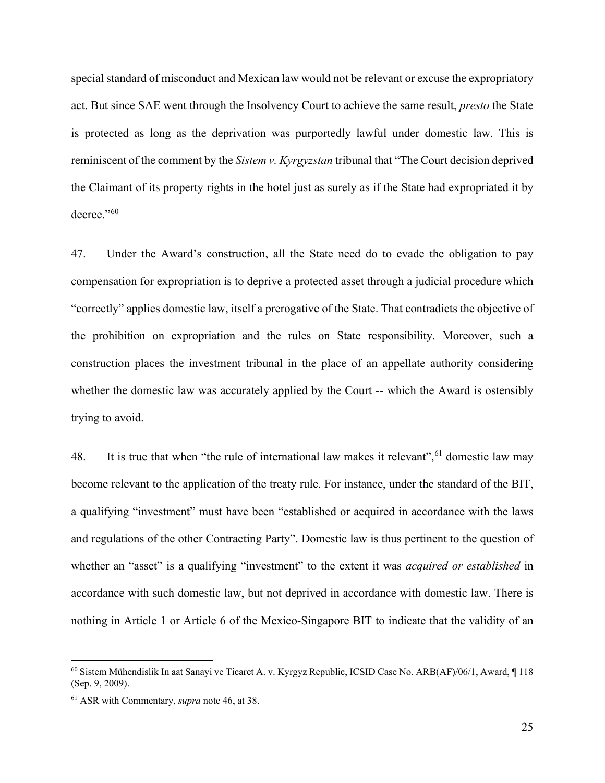special standard of misconduct and Mexican law would not be relevant or excuse the expropriatory act. But since SAE went through the Insolvency Court to achieve the same result, *presto* the State is protected as long as the deprivation was purportedly lawful under domestic law. This is reminiscent of the comment by the *Sistem v. Kyrgyzstan* tribunal that "The Court decision deprived the Claimant of its property rights in the hotel just as surely as if the State had expropriated it by decree."<sup>[60](#page-24-0)</sup>

47. Under the Award's construction, all the State need do to evade the obligation to pay compensation for expropriation is to deprive a protected asset through a judicial procedure which "correctly" applies domestic law, itself a prerogative of the State. That contradicts the objective of the prohibition on expropriation and the rules on State responsibility. Moreover, such a construction places the investment tribunal in the place of an appellate authority considering whether the domestic law was accurately applied by the Court -- which the Award is ostensibly trying to avoid.

48. It is true that when "the rule of international law makes it relevant",  $61$  domestic law may become relevant to the application of the treaty rule. For instance, under the standard of the BIT, a qualifying "investment" must have been "established or acquired in accordance with the laws and regulations of the other Contracting Party". Domestic law is thus pertinent to the question of whether an "asset" is a qualifying "investment" to the extent it was *acquired or established* in accordance with such domestic law, but not deprived in accordance with domestic law. There is nothing in Article 1 or Article 6 of the Mexico-Singapore BIT to indicate that the validity of an

<span id="page-24-0"></span><sup>60</sup> Sistem Mühendislik In aat Sanayi ve Ticaret A. v. Kyrgyz Republic, ICSID Case No. ARB(AF)/06/1, Award, ¶ 118 (Sep. 9, 2009).

<span id="page-24-1"></span><sup>61</sup> ASR with Commentary, *supra* not[e 46,](#page-20-2) at 38.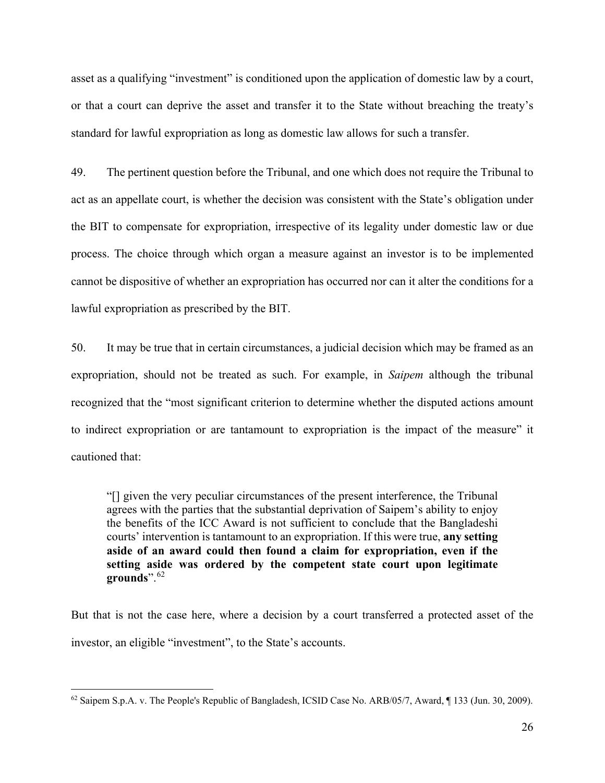asset as a qualifying "investment" is conditioned upon the application of domestic law by a court, or that a court can deprive the asset and transfer it to the State without breaching the treaty's standard for lawful expropriation as long as domestic law allows for such a transfer.

49. The pertinent question before the Tribunal, and one which does not require the Tribunal to act as an appellate court, is whether the decision was consistent with the State's obligation under the BIT to compensate for expropriation, irrespective of its legality under domestic law or due process. The choice through which organ a measure against an investor is to be implemented cannot be dispositive of whether an expropriation has occurred nor can it alter the conditions for a lawful expropriation as prescribed by the BIT.

50. It may be true that in certain circumstances, a judicial decision which may be framed as an expropriation, should not be treated as such. For example, in *Saipem* although the tribunal recognized that the "most significant criterion to determine whether the disputed actions amount to indirect expropriation or are tantamount to expropriation is the impact of the measure" it cautioned that:

"[] given the very peculiar circumstances of the present interference, the Tribunal agrees with the parties that the substantial deprivation of Saipem's ability to enjoy the benefits of the ICC Award is not sufficient to conclude that the Bangladeshi courts' intervention is tantamount to an expropriation. If this were true, **any setting aside of an award could then found a claim for expropriation, even if the setting aside was ordered by the competent state court upon legitimate grounds**".[62](#page-25-0)

But that is not the case here, where a decision by a court transferred a protected asset of the investor, an eligible "investment", to the State's accounts.

<span id="page-25-0"></span> $62$  Saipem S.p.A. v. The People's Republic of Bangladesh, ICSID Case No. ARB/05/7, Award,  $\P$  133 (Jun. 30, 2009).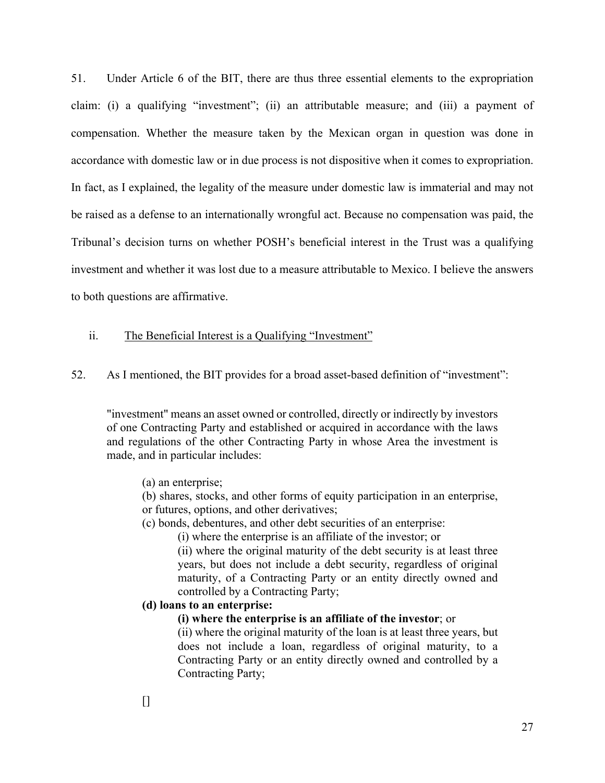51. Under Article 6 of the BIT, there are thus three essential elements to the expropriation claim: (i) a qualifying "investment"; (ii) an attributable measure; and (iii) a payment of compensation. Whether the measure taken by the Mexican organ in question was done in accordance with domestic law or in due process is not dispositive when it comes to expropriation. In fact, as I explained, the legality of the measure under domestic law is immaterial and may not be raised as a defense to an internationally wrongful act. Because no compensation was paid, the Tribunal's decision turns on whether POSH's beneficial interest in the Trust was a qualifying investment and whether it was lost due to a measure attributable to Mexico. I believe the answers to both questions are affirmative.

### ii. The Beneficial Interest is a Qualifying "Investment"

52. As I mentioned, the BIT provides for a broad asset-based definition of "investment":

"investment" means an asset owned or controlled, directly or indirectly by investors of one Contracting Party and established or acquired in accordance with the laws and regulations of the other Contracting Party in whose Area the investment is made, and in particular includes:

- (a) an enterprise;
- (b) shares, stocks, and other forms of equity participation in an enterprise, or futures, options, and other derivatives;
- (c) bonds, debentures, and other debt securities of an enterprise:
	- (i) where the enterprise is an affiliate of the investor; or

(ii) where the original maturity of the debt security is at least three years, but does not include a debt security, regardless of original maturity, of a Contracting Party or an entity directly owned and controlled by a Contracting Party;

## **(d) loans to an enterprise:**

**(i) where the enterprise is an affiliate of the investor**; or

(ii) where the original maturity of the loan is at least three years, but does not include a loan, regardless of original maturity, to a Contracting Party or an entity directly owned and controlled by a Contracting Party;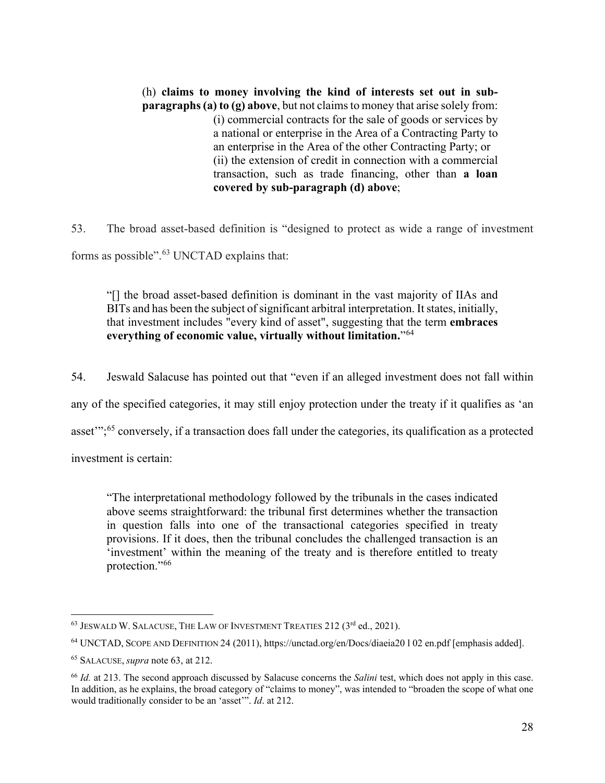(h) **claims to money involving the kind of interests set out in subparagraphs (a) to (g) above**, but not claims to money that arise solely from: (i) commercial contracts for the sale of goods or services by a national or enterprise in the Area of a Contracting Party to an enterprise in the Area of the other Contracting Party; or (ii) the extension of credit in connection with a commercial transaction, such as trade financing, other than **a loan covered by sub-paragraph (d) above**;

53. The broad asset-based definition is "designed to protect as wide a range of investment forms as possible".<sup>[63](#page-27-1)</sup> UNCTAD explains that:

<span id="page-27-0"></span>"[] the broad asset-based definition is dominant in the vast majority of IIAs and BITs and has been the subject of significant arbitral interpretation. It states, initially, that investment includes "every kind of asset", suggesting that the term **embraces everything of economic value, virtually without limitation.**"[64](#page-27-2)

54. Jeswald Salacuse has pointed out that "even if an alleged investment does not fall within

any of the specified categories, it may still enjoy protection under the treaty if it qualifies as 'an

asset'";[65](#page-27-3) conversely, if a transaction does fall under the categories, its qualification as a protected

investment is certain:

"The interpretational methodology followed by the tribunals in the cases indicated above seems straightforward: the tribunal first determines whether the transaction in question falls into one of the transactional categories specified in treaty provisions. If it does, then the tribunal concludes the challenged transaction is an 'investment' within the meaning of the treaty and is therefore entitled to treaty protection."[66](#page-27-4)

<span id="page-27-1"></span><sup>&</sup>lt;sup>63</sup> JESWALD W. SALACUSE, THE LAW OF INVESTMENT TREATIES 212 (3<sup>rd</sup> ed., 2021).

<span id="page-27-2"></span><sup>64</sup> UNCTAD, SCOPE AND DEFINITION 24 (2011), https://unctad.org/en/Docs/diaeia20 l 02 en.pdf [emphasis added].

<span id="page-27-3"></span><sup>65</sup> SALACUSE, *supra* note [63,](#page-27-0) at 212.

<span id="page-27-4"></span><sup>66</sup> *Id.* at 213. The second approach discussed by Salacuse concerns the *Salini* test, which does not apply in this case. In addition, as he explains, the broad category of "claims to money", was intended to "broaden the scope of what one would traditionally consider to be an 'asset'". *Id*. at 212.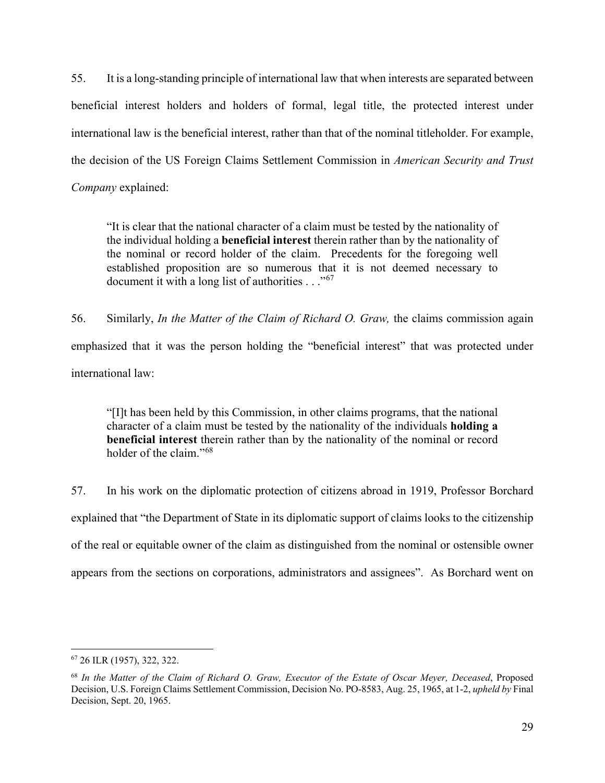55. It is a long-standing principle of international law that when interests are separated between beneficial interest holders and holders of formal, legal title, the protected interest under international law is the beneficial interest, rather than that of the nominal titleholder. For example, the decision of the US Foreign Claims Settlement Commission in *American Security and Trust Company* explained:

"It is clear that the national character of a claim must be tested by the nationality of the individual holding a **beneficial interest** therein rather than by the nationality of the nominal or record holder of the claim. Precedents for the foregoing well established proposition are so numerous that it is not deemed necessary to document it with a long list of authorities  $\ldots$ <sup>[67](#page-28-0)</sup>

56. Similarly, *In the Matter of the Claim of Richard O. Graw,* the claims commission again emphasized that it was the person holding the "beneficial interest" that was protected under international law:

"[I]t has been held by this Commission, in other claims programs, that the national character of a claim must be tested by the nationality of the individuals **holding a beneficial interest** therein rather than by the nationality of the nominal or record holder of the claim."<sup>[68](#page-28-1)</sup>

57. In his work on the diplomatic protection of citizens abroad in 1919, Professor Borchard explained that "the Department of State in its diplomatic support of claims looks to the citizenship of the real or equitable owner of the claim as distinguished from the nominal or ostensible owner appears from the sections on corporations, administrators and assignees". As Borchard went on

<span id="page-28-0"></span><sup>67</sup> 26 ILR (1957), 322, 322.

<span id="page-28-1"></span><sup>68</sup> *In the Matter of the Claim of Richard O. Graw, Executor of the Estate of Oscar Meyer, Deceased*, Proposed Decision, U.S. Foreign Claims Settlement Commission, Decision No. PO-8583, Aug. 25, 1965, at 1-2, *upheld by* Final Decision, Sept. 20, 1965.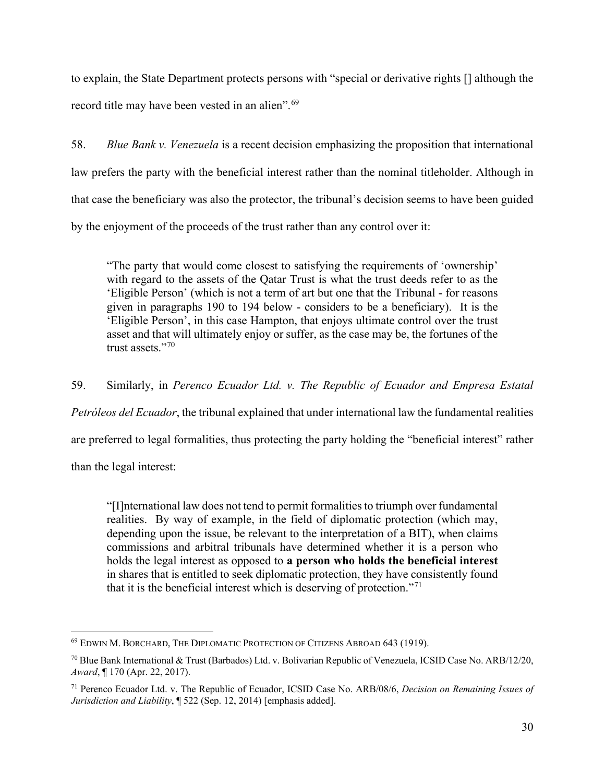to explain, the State Department protects persons with "special or derivative rights [] although the record title may have been vested in an alien".<sup>69</sup>

58. *Blue Bank v. Venezuela* is a recent decision emphasizing the proposition that international law prefers the party with the beneficial interest rather than the nominal titleholder. Although in that case the beneficiary was also the protector, the tribunal's decision seems to have been guided by the enjoyment of the proceeds of the trust rather than any control over it:

"The party that would come closest to satisfying the requirements of 'ownership' with regard to the assets of the Qatar Trust is what the trust deeds refer to as the 'Eligible Person' (which is not a term of art but one that the Tribunal - for reasons given in paragraphs 190 to 194 below - considers to be a beneficiary). It is the 'Eligible Person', in this case Hampton, that enjoys ultimate control over the trust asset and that will ultimately enjoy or suffer, as the case may be, the fortunes of the trust assets."<sup>[70](#page-29-1)</sup>

59. Similarly, in *Perenco Ecuador Ltd. v. The Republic of Ecuador and Empresa Estatal* 

*Petróleos del Ecuador*, the tribunal explained that under international law the fundamental realities

are preferred to legal formalities, thus protecting the party holding the "beneficial interest" rather

than the legal interest:

"[I]nternational law does not tend to permit formalities to triumph over fundamental realities. By way of example, in the field of diplomatic protection (which may, depending upon the issue, be relevant to the interpretation of a BIT), when claims commissions and arbitral tribunals have determined whether it is a person who holds the legal interest as opposed to **a person who holds the beneficial interest** in shares that is entitled to seek diplomatic protection, they have consistently found that it is the beneficial interest which is deserving of protection."<sup>[71](#page-29-2)</sup>

<span id="page-29-0"></span><sup>69</sup> EDWIN M. BORCHARD, THE DIPLOMATIC PROTECTION OF CITIZENS ABROAD 643 (1919).

<span id="page-29-1"></span><sup>70</sup> Blue Bank International & Trust (Barbados) Ltd. v. Bolivarian Republic of Venezuela, ICSID Case No. ARB/12/20, *Award*, ¶ 170 (Apr. 22, 2017).

<span id="page-29-2"></span><sup>71</sup> Perenco Ecuador Ltd. v. The Republic of Ecuador, ICSID Case No. ARB/08/6, *Decision on Remaining Issues of Jurisdiction and Liability*, ¶ 522 (Sep. 12, 2014) [emphasis added].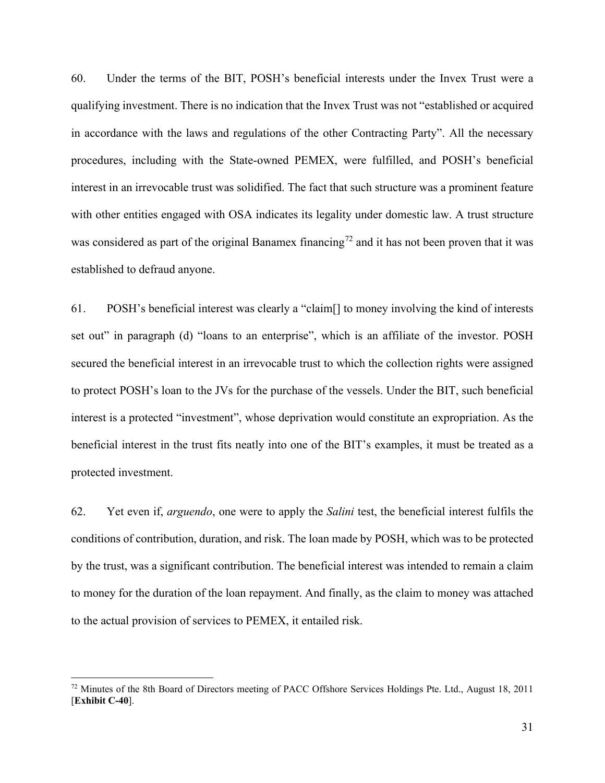60. Under the terms of the BIT, POSH's beneficial interests under the Invex Trust were a qualifying investment. There is no indication that the Invex Trust was not "established or acquired in accordance with the laws and regulations of the other Contracting Party". All the necessary procedures, including with the State-owned PEMEX, were fulfilled, and POSH's beneficial interest in an irrevocable trust was solidified. The fact that such structure was a prominent feature with other entities engaged with OSA indicates its legality under domestic law. A trust structure was considered as part of the original Banamex financing<sup>[72](#page-30-0)</sup> and it has not been proven that it was established to defraud anyone.

61. POSH's beneficial interest was clearly a "claim[] to money involving the kind of interests set out" in paragraph (d) "loans to an enterprise", which is an affiliate of the investor. POSH secured the beneficial interest in an irrevocable trust to which the collection rights were assigned to protect POSH's loan to the JVs for the purchase of the vessels. Under the BIT, such beneficial interest is a protected "investment", whose deprivation would constitute an expropriation. As the beneficial interest in the trust fits neatly into one of the BIT's examples, it must be treated as a protected investment.

62. Yet even if, *arguendo*, one were to apply the *Salini* test, the beneficial interest fulfils the conditions of contribution, duration, and risk. The loan made by POSH, which was to be protected by the trust, was a significant contribution. The beneficial interest was intended to remain a claim to money for the duration of the loan repayment. And finally, as the claim to money was attached to the actual provision of services to PEMEX, it entailed risk.

<span id="page-30-0"></span> $72$  Minutes of the 8th Board of Directors meeting of PACC Offshore Services Holdings Pte. Ltd., August 18, 2011 [**Exhibit C-40**].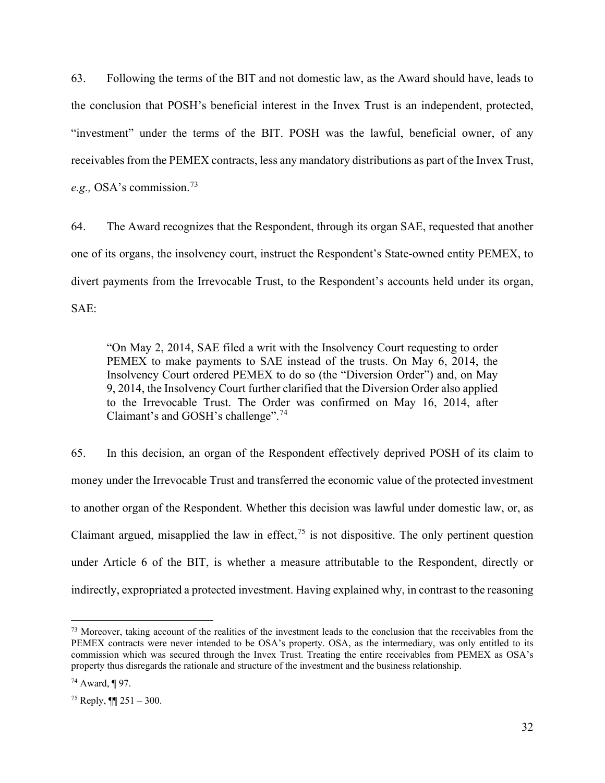63. Following the terms of the BIT and not domestic law, as the Award should have, leads to the conclusion that POSH's beneficial interest in the Invex Trust is an independent, protected, "investment" under the terms of the BIT. POSH was the lawful, beneficial owner, of any receivables from the PEMEX contracts, less any mandatory distributions as part of the Invex Trust, *e.g.,* OSA's commission.[73](#page-31-0)

64. The Award recognizes that the Respondent, through its organ SAE, requested that another one of its organs, the insolvency court, instruct the Respondent's State-owned entity PEMEX, to divert payments from the Irrevocable Trust, to the Respondent's accounts held under its organ, SAE:

"On May 2, 2014, SAE filed a writ with the Insolvency Court requesting to order PEMEX to make payments to SAE instead of the trusts. On May 6, 2014, the Insolvency Court ordered PEMEX to do so (the "Diversion Order") and, on May 9, 2014, the Insolvency Court further clarified that the Diversion Order also applied to the Irrevocable Trust. The Order was confirmed on May 16, 2014, after Claimant's and GOSH's challenge".<sup>[74](#page-31-1)</sup>

65. In this decision, an organ of the Respondent effectively deprived POSH of its claim to money under the Irrevocable Trust and transferred the economic value of the protected investment to another organ of the Respondent. Whether this decision was lawful under domestic law, or, as Claimant argued, misapplied the law in effect,  $^{75}$  $^{75}$  $^{75}$  is not dispositive. The only pertinent question under Article 6 of the BIT, is whether a measure attributable to the Respondent, directly or indirectly, expropriated a protected investment. Having explained why, in contrast to the reasoning

<span id="page-31-0"></span><sup>&</sup>lt;sup>73</sup> Moreover, taking account of the realities of the investment leads to the conclusion that the receivables from the PEMEX contracts were never intended to be OSA's property. OSA, as the intermediary, was only entitled to its commission which was secured through the Invex Trust. Treating the entire receivables from PEMEX as OSA's property thus disregards the rationale and structure of the investment and the business relationship.

<span id="page-31-1"></span> $74$  Award, ¶ 97.

<span id="page-31-2"></span> $75$  Reply,  $\P$  251 – 300.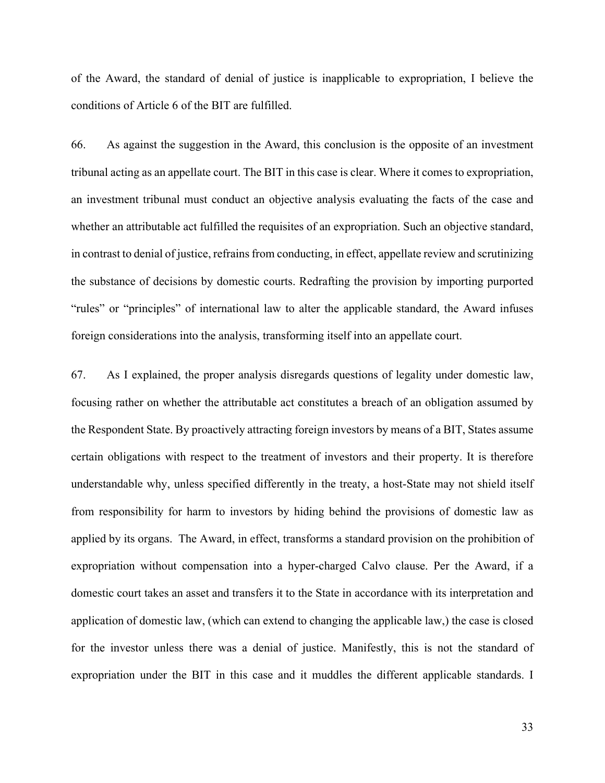of the Award, the standard of denial of justice is inapplicable to expropriation, I believe the conditions of Article 6 of the BIT are fulfilled.

66. As against the suggestion in the Award, this conclusion is the opposite of an investment tribunal acting as an appellate court. The BIT in this case is clear. Where it comes to expropriation, an investment tribunal must conduct an objective analysis evaluating the facts of the case and whether an attributable act fulfilled the requisites of an expropriation. Such an objective standard, in contrast to denial of justice, refrains from conducting, in effect, appellate review and scrutinizing the substance of decisions by domestic courts. Redrafting the provision by importing purported "rules" or "principles" of international law to alter the applicable standard, the Award infuses foreign considerations into the analysis, transforming itself into an appellate court.

67. As I explained, the proper analysis disregards questions of legality under domestic law, focusing rather on whether the attributable act constitutes a breach of an obligation assumed by the Respondent State. By proactively attracting foreign investors by means of a BIT, States assume certain obligations with respect to the treatment of investors and their property. It is therefore understandable why, unless specified differently in the treaty, a host-State may not shield itself from responsibility for harm to investors by hiding behind the provisions of domestic law as applied by its organs. The Award, in effect, transforms a standard provision on the prohibition of expropriation without compensation into a hyper-charged Calvo clause. Per the Award, if a domestic court takes an asset and transfers it to the State in accordance with its interpretation and application of domestic law, (which can extend to changing the applicable law,) the case is closed for the investor unless there was a denial of justice. Manifestly, this is not the standard of expropriation under the BIT in this case and it muddles the different applicable standards. I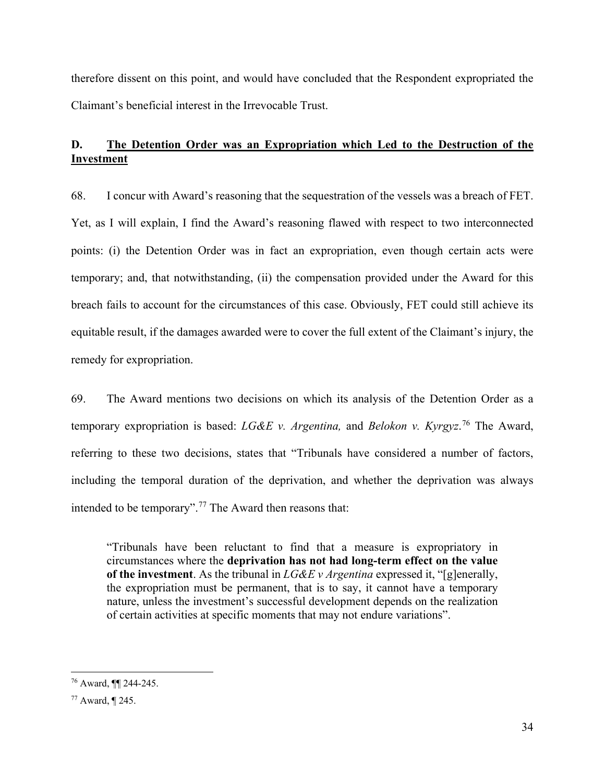therefore dissent on this point, and would have concluded that the Respondent expropriated the Claimant's beneficial interest in the Irrevocable Trust.

# **D. The Detention Order was an Expropriation which Led to the Destruction of the Investment**

68. I concur with Award's reasoning that the sequestration of the vessels was a breach of FET. Yet, as I will explain, I find the Award's reasoning flawed with respect to two interconnected points: (i) the Detention Order was in fact an expropriation, even though certain acts were temporary; and, that notwithstanding, (ii) the compensation provided under the Award for this breach fails to account for the circumstances of this case. Obviously, FET could still achieve its equitable result, if the damages awarded were to cover the full extent of the Claimant's injury, the remedy for expropriation.

69. The Award mentions two decisions on which its analysis of the Detention Order as a temporary expropriation is based: *LG&E v. Argentina,* and *Belokon v. Kyrgyz*. [76](#page-33-0) The Award, referring to these two decisions, states that "Tribunals have considered a number of factors, including the temporal duration of the deprivation, and whether the deprivation was always intended to be temporary".[77](#page-33-1) The Award then reasons that:

"Tribunals have been reluctant to find that a measure is expropriatory in circumstances where the **deprivation has not had long-term effect on the value of the investment**. As the tribunal in *LG&E v Argentina* expressed it, "[g]enerally, the expropriation must be permanent, that is to say, it cannot have a temporary nature, unless the investment's successful development depends on the realization of certain activities at specific moments that may not endure variations".

<span id="page-33-0"></span><sup>76</sup> Award, ¶¶ 244-245.

<span id="page-33-1"></span><sup>77</sup> Award, ¶ 245.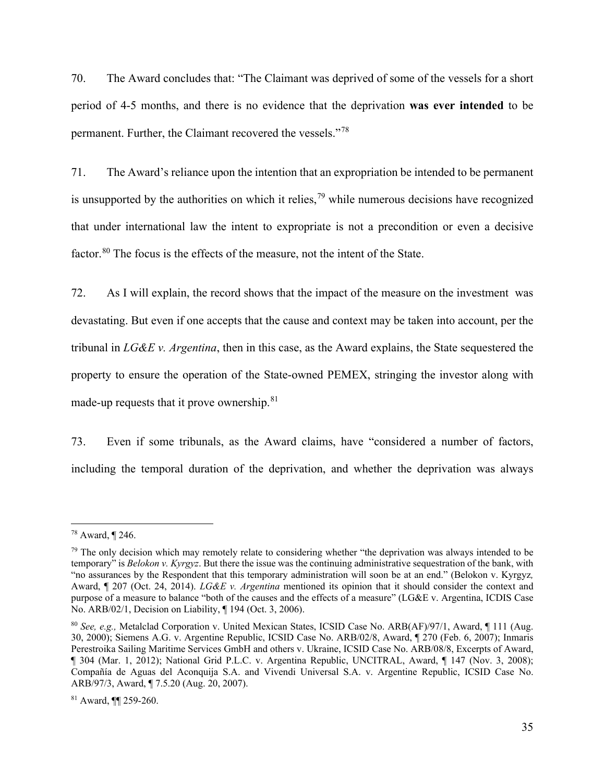70. The Award concludes that: "The Claimant was deprived of some of the vessels for a short period of 4-5 months, and there is no evidence that the deprivation **was ever intended** to be permanent. Further, the Claimant recovered the vessels."[78](#page-34-0)

71. The Award's reliance upon the intention that an expropriation be intended to be permanent is unsupported by the authorities on which it relies,  $79$  while numerous decisions have recognized that under international law the intent to expropriate is not a precondition or even a decisive factor.<sup>[80](#page-34-2)</sup> The focus is the effects of the measure, not the intent of the State.

72. As I will explain, the record shows that the impact of the measure on the investment was devastating. But even if one accepts that the cause and context may be taken into account, per the tribunal in *LG&E v. Argentina*, then in this case, as the Award explains, the State sequestered the property to ensure the operation of the State-owned PEMEX, stringing the investor along with made-up requests that it prove ownership.<sup>[81](#page-34-3)</sup>

73. Even if some tribunals, as the Award claims, have "considered a number of factors, including the temporal duration of the deprivation, and whether the deprivation was always

<span id="page-34-0"></span><sup>78</sup> Award, ¶ 246.

<span id="page-34-1"></span> $79$  The only decision which may remotely relate to considering whether "the deprivation was always intended to be temporary" is *Belokon v. Kyrgyz*. But there the issue was the continuing administrative sequestration of the bank, with "no assurances by the Respondent that this temporary administration will soon be at an end." (Belokon v. Kyrgyz*,*  Award, ¶ 207 (Oct. 24, 2014). *LG&E v. Argentina* mentioned its opinion that it should consider the context and purpose of a measure to balance "both of the causes and the effects of a measure" (LG&E v. Argentina, ICDIS Case No. ARB/02/1, Decision on Liability, ¶ 194 (Oct. 3, 2006).

<span id="page-34-2"></span><sup>80</sup> *See, e.g.,* Metalclad Corporation v. United Mexican States, ICSID Case No. ARB(AF)/97/1, Award, ¶ 111 (Aug. 30, 2000); Siemens A.G. v. Argentine Republic, ICSID Case No. ARB/02/8, Award, ¶ 270 (Feb. 6, 2007); Inmaris Perestroika Sailing Maritime Services GmbH and others v. Ukraine, ICSID Case No. ARB/08/8, Excerpts of Award, ¶ 304 (Mar. 1, 2012); National Grid P.L.C. v. Argentina Republic, UNCITRAL, Award, ¶ 147 (Nov. 3, 2008); Compañía de Aguas del Aconquija S.A. and Vivendi Universal S.A. v. Argentine Republic, ICSID Case No. ARB/97/3, Award, ¶ 7.5.20 (Aug. 20, 2007).

<span id="page-34-3"></span><sup>81</sup> Award, ¶¶ 259-260.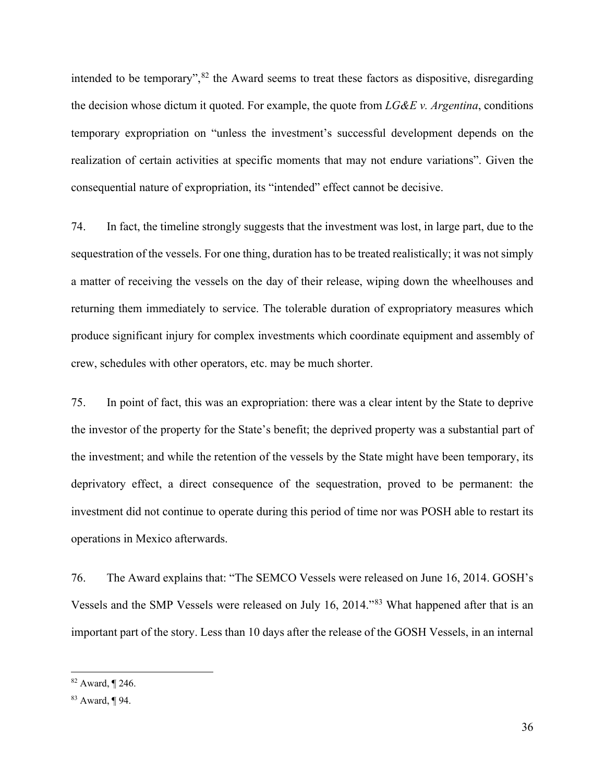intended to be temporary",  $82$  the Award seems to treat these factors as dispositive, disregarding the decision whose dictum it quoted. For example, the quote from *LG&E v. Argentina*, conditions temporary expropriation on "unless the investment's successful development depends on the realization of certain activities at specific moments that may not endure variations". Given the consequential nature of expropriation, its "intended" effect cannot be decisive.

74. In fact, the timeline strongly suggests that the investment was lost, in large part, due to the sequestration of the vessels. For one thing, duration has to be treated realistically; it was not simply a matter of receiving the vessels on the day of their release, wiping down the wheelhouses and returning them immediately to service. The tolerable duration of expropriatory measures which produce significant injury for complex investments which coordinate equipment and assembly of crew, schedules with other operators, etc. may be much shorter.

75. In point of fact, this was an expropriation: there was a clear intent by the State to deprive the investor of the property for the State's benefit; the deprived property was a substantial part of the investment; and while the retention of the vessels by the State might have been temporary, its deprivatory effect, a direct consequence of the sequestration, proved to be permanent: the investment did not continue to operate during this period of time nor was POSH able to restart its operations in Mexico afterwards.

76. The Award explains that: "The SEMCO Vessels were released on June 16, 2014. GOSH's Vessels and the SMP Vessels were released on July 16, 2014."[83](#page-35-1) What happened after that is an important part of the story. Less than 10 days after the release of the GOSH Vessels, in an internal

<span id="page-35-0"></span><sup>82</sup> Award, ¶ 246.

<span id="page-35-1"></span><sup>83</sup> Award, ¶ 94.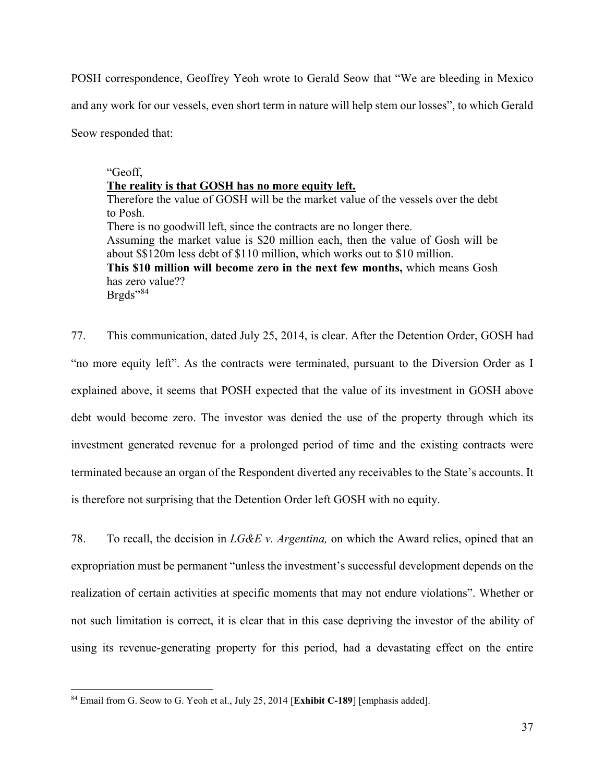POSH correspondence, Geoffrey Yeoh wrote to Gerald Seow that "We are bleeding in Mexico and any work for our vessels, even short term in nature will help stem our losses", to which Gerald Seow responded that:

#### "Geoff,

#### **The reality is that GOSH has no more equity left.**

Therefore the value of GOSH will be the market value of the vessels over the debt to Posh. There is no goodwill left, since the contracts are no longer there. Assuming the market value is \$20 million each, then the value of Gosh will be about \$\$120m less debt of \$110 million, which works out to \$10 million. **This \$10 million will become zero in the next few months,** which means Gosh has zero value?? Brgds"<sup>[84](#page-36-0)</sup>

77. This communication, dated July 25, 2014, is clear. After the Detention Order, GOSH had "no more equity left". As the contracts were terminated, pursuant to the Diversion Order as I explained above, it seems that POSH expected that the value of its investment in GOSH above debt would become zero. The investor was denied the use of the property through which its investment generated revenue for a prolonged period of time and the existing contracts were terminated because an organ of the Respondent diverted any receivables to the State's accounts. It is therefore not surprising that the Detention Order left GOSH with no equity.

78. To recall, the decision in *LG&E v. Argentina,* on which the Award relies, opined that an expropriation must be permanent "unless the investment's successful development depends on the realization of certain activities at specific moments that may not endure violations". Whether or not such limitation is correct, it is clear that in this case depriving the investor of the ability of using its revenue-generating property for this period, had a devastating effect on the entire

<span id="page-36-0"></span><sup>84</sup> Email from G. Seow to G. Yeoh et al., July 25, 2014 [**Exhibit C-189**] [emphasis added].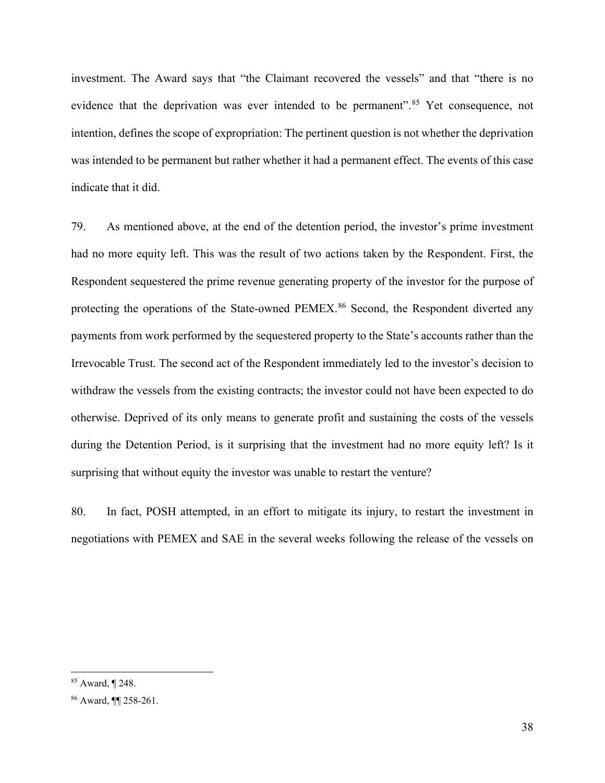investment. The Award says that "the Claimant recovered the vessels" and that "there is no evidence that the deprivation was ever intended to be permanent".<sup>[85](#page-37-0)</sup> Yet consequence, not intention, defines the scope of expropriation: The pertinent question is not whether the deprivation was intended to be permanent but rather whether it had a permanent effect. The events of this case indicate that it did.

79. As mentioned above, at the end of the detention period, the investor's prime investment had no more equity left. This was the result of two actions taken by the Respondent. First, the Respondent sequestered the prime revenue generating property of the investor for the purpose of protecting the operations of the State-owned PEMEX.<sup>[86](#page-37-1)</sup> Second, the Respondent diverted any payments from work performed by the sequestered property to the State's accounts rather than the Irrevocable Trust. The second act of the Respondent immediately led to the investor's decision to withdraw the vessels from the existing contracts; the investor could not have been expected to do otherwise. Deprived of its only means to generate profit and sustaining the costs of the vessels during the Detention Period, is it surprising that the investment had no more equity left? Is it surprising that without equity the investor was unable to restart the venture?

80. In fact, POSH attempted, in an effort to mitigate its injury, to restart the investment in negotiations with PEMEX and SAE in the several weeks following the release of the vessels on

<span id="page-37-0"></span><sup>85</sup> Award, ¶ 248.

<span id="page-37-1"></span><sup>86</sup> Award, ¶¶ 258-261.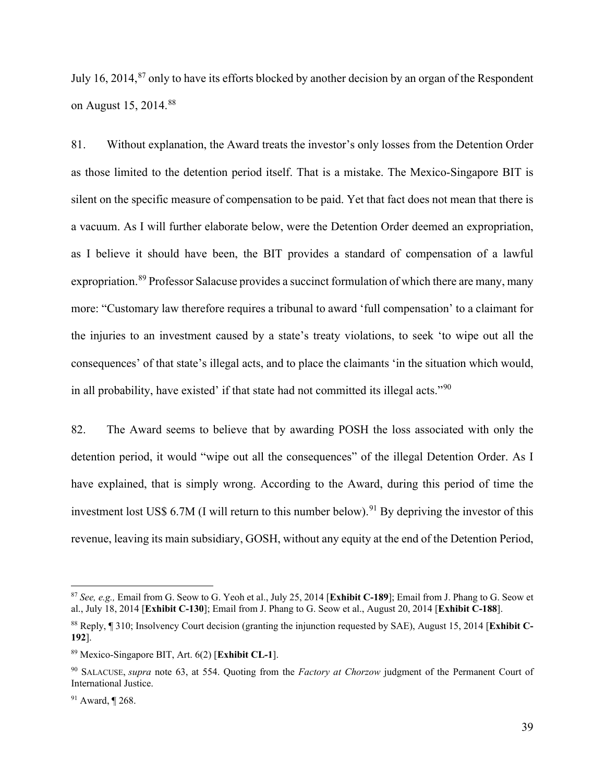July 16, 2014,<sup>[87](#page-38-0)</sup> only to have its efforts blocked by another decision by an organ of the Respondent on August 15, 2014.<sup>[88](#page-38-1)</sup>

81. Without explanation, the Award treats the investor's only losses from the Detention Order as those limited to the detention period itself. That is a mistake. The Mexico-Singapore BIT is silent on the specific measure of compensation to be paid. Yet that fact does not mean that there is a vacuum. As I will further elaborate below, were the Detention Order deemed an expropriation, as I believe it should have been, the BIT provides a standard of compensation of a lawful expropriation.<sup>[89](#page-38-2)</sup> Professor Salacuse provides a succinct formulation of which there are many, many more: "Customary law therefore requires a tribunal to award 'full compensation' to a claimant for the injuries to an investment caused by a state's treaty violations, to seek 'to wipe out all the consequences' of that state's illegal acts, and to place the claimants 'in the situation which would, in all probability, have existed' if that state had not committed its illegal acts."<sup>[90](#page-38-3)</sup>

82. The Award seems to believe that by awarding POSH the loss associated with only the detention period, it would "wipe out all the consequences" of the illegal Detention Order. As I have explained, that is simply wrong. According to the Award, during this period of time the investment lost US\$ 6.7M (I will return to this number below). [91](#page-38-4) By depriving the investor of this revenue, leaving its main subsidiary, GOSH, without any equity at the end of the Detention Period,

<span id="page-38-0"></span><sup>87</sup> *See, e.g.,* Email from G. Seow to G. Yeoh et al., July 25, 2014 [**Exhibit C-189**]; Email from J. Phang to G. Seow et al., July 18, 2014 [**Exhibit C-130**]; Email from J. Phang to G. Seow et al., August 20, 2014 [**Exhibit C-188**].

<span id="page-38-1"></span><sup>88</sup> Reply, ¶ 310; Insolvency Court decision (granting the injunction requested by SAE), August 15, 2014 [**Exhibit C-192**].

<span id="page-38-2"></span><sup>89</sup> Mexico-Singapore BIT, Art. 6(2) [**Exhibit CL-1**].

<span id="page-38-3"></span><sup>90</sup> SALACUSE, *supra* note [63,](#page-27-0) at 554. Quoting from the *Factory at Chorzow* judgment of the Permanent Court of International Justice.

<span id="page-38-4"></span><sup>91</sup> Award, ¶ 268.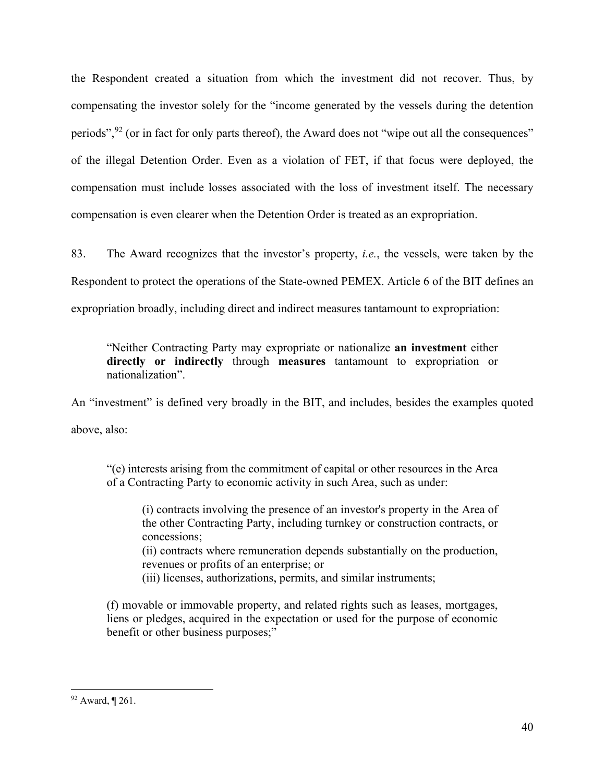the Respondent created a situation from which the investment did not recover. Thus, by compensating the investor solely for the "income generated by the vessels during the detention periods",  $92$  (or in fact for only parts thereof), the Award does not "wipe out all the consequences" of the illegal Detention Order. Even as a violation of FET, if that focus were deployed, the compensation must include losses associated with the loss of investment itself. The necessary compensation is even clearer when the Detention Order is treated as an expropriation.

83. The Award recognizes that the investor's property, *i.e.*, the vessels, were taken by the Respondent to protect the operations of the State-owned PEMEX. Article 6 of the BIT defines an expropriation broadly, including direct and indirect measures tantamount to expropriation:

"Neither Contracting Party may expropriate or nationalize **an investment** either **directly or indirectly** through **measures** tantamount to expropriation or nationalization".

An "investment" is defined very broadly in the BIT, and includes, besides the examples quoted above, also:

"(e) interests arising from the commitment of capital or other resources in the Area of a Contracting Party to economic activity in such Area, such as under:

(i) contracts involving the presence of an investor's property in the Area of the other Contracting Party, including turnkey or construction contracts, or concessions;

(ii) contracts where remuneration depends substantially on the production, revenues or profits of an enterprise; or

(iii) licenses, authorizations, permits, and similar instruments;

(f) movable or immovable property, and related rights such as leases, mortgages, liens or pledges, acquired in the expectation or used for the purpose of economic benefit or other business purposes;"

<span id="page-39-0"></span><sup>92</sup> Award, ¶ 261.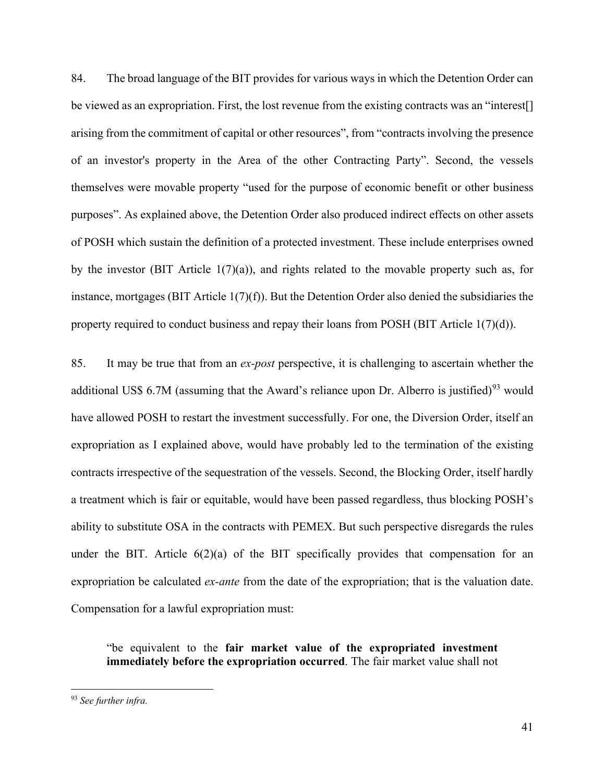84. The broad language of the BIT provides for various ways in which the Detention Order can be viewed as an expropriation. First, the lost revenue from the existing contracts was an "interest[] arising from the commitment of capital or other resources", from "contracts involving the presence of an investor's property in the Area of the other Contracting Party". Second, the vessels themselves were movable property "used for the purpose of economic benefit or other business purposes". As explained above, the Detention Order also produced indirect effects on other assets of POSH which sustain the definition of a protected investment. These include enterprises owned by the investor (BIT Article  $1(7)(a)$ ), and rights related to the movable property such as, for instance, mortgages (BIT Article 1(7)(f)). But the Detention Order also denied the subsidiaries the property required to conduct business and repay their loans from POSH (BIT Article 1(7)(d)).

85. It may be true that from an *ex-post* perspective, it is challenging to ascertain whether the additional US\$ 6.7M (assuming that the Award's reliance upon Dr. Alberro is justified)<sup>[93](#page-40-0)</sup> would have allowed POSH to restart the investment successfully. For one, the Diversion Order, itself an expropriation as I explained above, would have probably led to the termination of the existing contracts irrespective of the sequestration of the vessels. Second, the Blocking Order, itself hardly a treatment which is fair or equitable, would have been passed regardless, thus blocking POSH's ability to substitute OSA in the contracts with PEMEX. But such perspective disregards the rules under the BIT. Article  $6(2)(a)$  of the BIT specifically provides that compensation for an expropriation be calculated *ex-ante* from the date of the expropriation; that is the valuation date. Compensation for a lawful expropriation must:

"be equivalent to the **fair market value of the expropriated investment immediately before the expropriation occurred**. The fair market value shall not

<span id="page-40-0"></span><sup>93</sup> *See further infra.*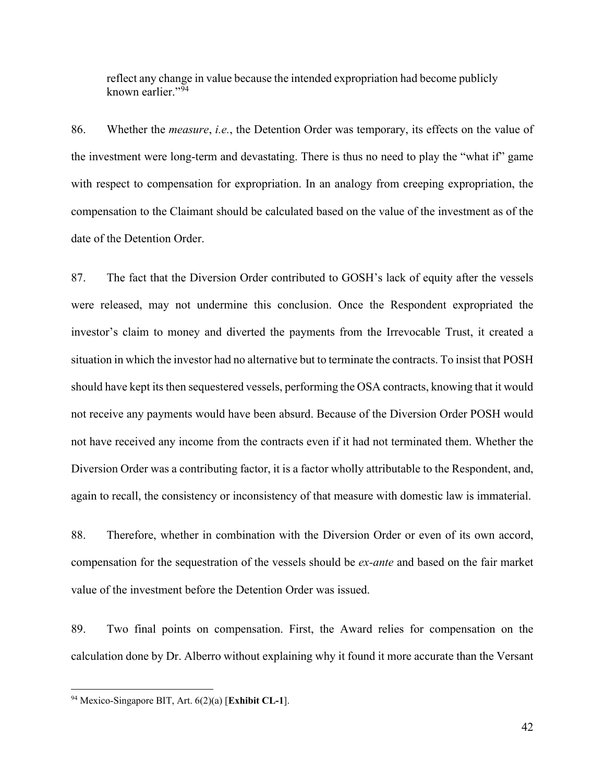reflect any change in value because the intended expropriation had become publicly known earlier. $^{94}$  $^{94}$  $^{94}$ 

86. Whether the *measure*, *i.e.*, the Detention Order was temporary, its effects on the value of the investment were long-term and devastating. There is thus no need to play the "what if" game with respect to compensation for expropriation. In an analogy from creeping expropriation, the compensation to the Claimant should be calculated based on the value of the investment as of the date of the Detention Order.

87. The fact that the Diversion Order contributed to GOSH's lack of equity after the vessels were released, may not undermine this conclusion. Once the Respondent expropriated the investor's claim to money and diverted the payments from the Irrevocable Trust, it created a situation in which the investor had no alternative but to terminate the contracts. To insist that POSH should have kept its then sequestered vessels, performing the OSA contracts, knowing that it would not receive any payments would have been absurd. Because of the Diversion Order POSH would not have received any income from the contracts even if it had not terminated them. Whether the Diversion Order was a contributing factor, it is a factor wholly attributable to the Respondent, and, again to recall, the consistency or inconsistency of that measure with domestic law is immaterial.

88. Therefore, whether in combination with the Diversion Order or even of its own accord, compensation for the sequestration of the vessels should be *ex-ante* and based on the fair market value of the investment before the Detention Order was issued.

89. Two final points on compensation. First, the Award relies for compensation on the calculation done by Dr. Alberro without explaining why it found it more accurate than the Versant

<span id="page-41-0"></span><sup>94</sup> Mexico-Singapore BIT, Art. 6(2)(a) [**Exhibit CL-1**].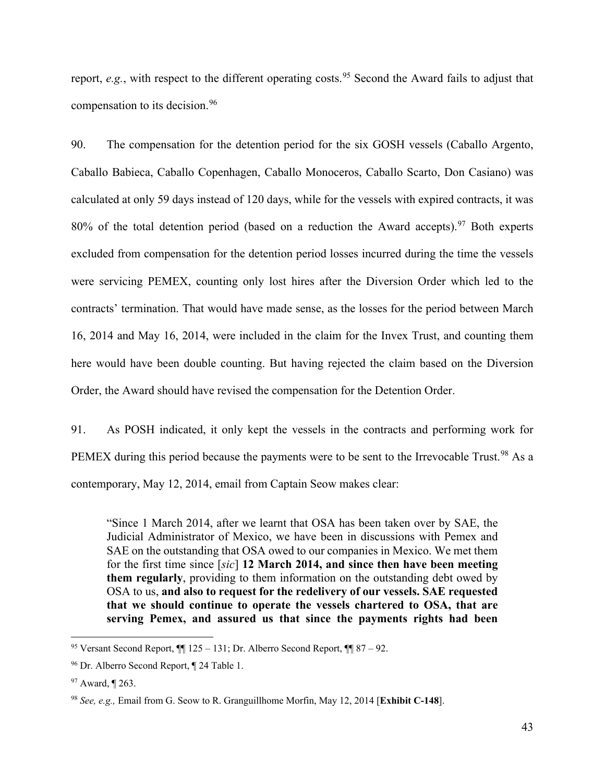report, *e.g.*, with respect to the different operating costs.<sup>[95](#page-42-0)</sup> Second the Award fails to adjust that compensation to its decision.<sup>[96](#page-42-1)</sup>

90. The compensation for the detention period for the six GOSH vessels (Caballo Argento, Caballo Babieca, Caballo Copenhagen, Caballo Monoceros, Caballo Scarto, Don Casiano) was calculated at only 59 days instead of 120 days, while for the vessels with expired contracts, it was  $80\%$  of the total detention period (based on a reduction the Award accepts).<sup>[97](#page-42-2)</sup> Both experts excluded from compensation for the detention period losses incurred during the time the vessels were servicing PEMEX, counting only lost hires after the Diversion Order which led to the contracts' termination. That would have made sense, as the losses for the period between March 16, 2014 and May 16, 2014, were included in the claim for the Invex Trust, and counting them here would have been double counting. But having rejected the claim based on the Diversion Order, the Award should have revised the compensation for the Detention Order.

91. As POSH indicated, it only kept the vessels in the contracts and performing work for PEMEX during this period because the payments were to be sent to the Irrevocable Trust.<sup>[98](#page-42-3)</sup> As a contemporary, May 12, 2014, email from Captain Seow makes clear:

"Since 1 March 2014, after we learnt that OSA has been taken over by SAE, the Judicial Administrator of Mexico, we have been in discussions with Pemex and SAE on the outstanding that OSA owed to our companies in Mexico. We met them for the first time since [*sic*] **12 March 2014, and since then have been meeting them regularly**, providing to them information on the outstanding debt owed by OSA to us, **and also to request for the redelivery of our vessels. SAE requested that we should continue to operate the vessels chartered to OSA, that are serving Pemex, and assured us that since the payments rights had been** 

<span id="page-42-0"></span><sup>&</sup>lt;sup>95</sup> Versant Second Report,  $\P$  125 – 131; Dr. Alberro Second Report,  $\P$  87 – 92.

<span id="page-42-1"></span><sup>96</sup> Dr. Alberro Second Report, ¶ 24 Table 1.

<span id="page-42-2"></span><sup>97</sup> Award, ¶ 263.

<span id="page-42-3"></span><sup>98</sup> *See, e.g.,* Email from G. Seow to R. Granguillhome Morfin, May 12, 2014 [**Exhibit C-148**].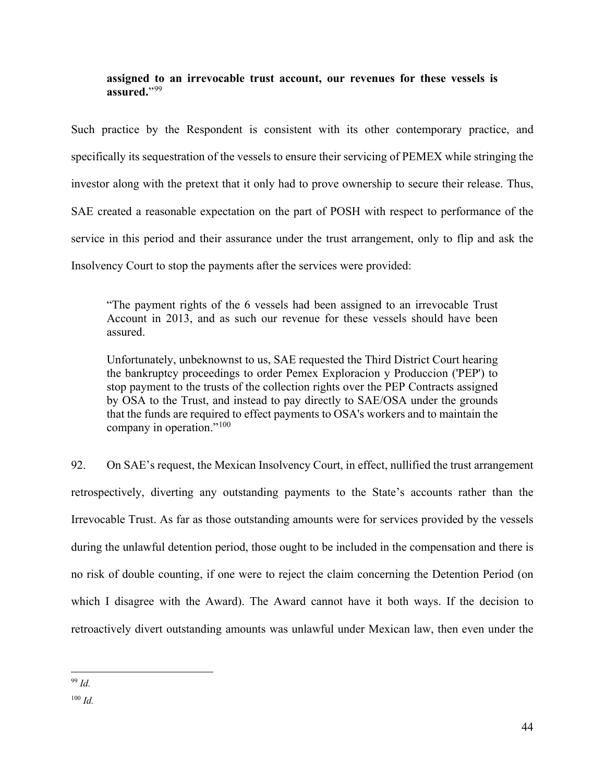### **assigned to an irrevocable trust account, our revenues for these vessels is**  assured."<sup>[99](#page-43-0)</sup>

Such practice by the Respondent is consistent with its other contemporary practice, and specifically its sequestration of the vessels to ensure their servicing of PEMEX while stringing the investor along with the pretext that it only had to prove ownership to secure their release. Thus, SAE created a reasonable expectation on the part of POSH with respect to performance of the service in this period and their assurance under the trust arrangement, only to flip and ask the Insolvency Court to stop the payments after the services were provided:

"The payment rights of the 6 vessels had been assigned to an irrevocable Trust Account in 2013, and as such our revenue for these vessels should have been assured.

Unfortunately, unbeknownst to us, SAE requested the Third District Court hearing the bankruptcy proceedings to order Pemex Exploracion y Produccion ('PEP') to stop payment to the trusts of the collection rights over the PEP Contracts assigned by OSA to the Trust, and instead to pay directly to SAE/OSA under the grounds that the funds are required to effect payments to OSA's workers and to maintain the company in operation."<sup>[100](#page-43-1)</sup>

92. On SAE's request, the Mexican Insolvency Court, in effect, nullified the trust arrangement retrospectively, diverting any outstanding payments to the State's accounts rather than the Irrevocable Trust. As far as those outstanding amounts were for services provided by the vessels during the unlawful detention period, those ought to be included in the compensation and there is no risk of double counting, if one were to reject the claim concerning the Detention Period (on which I disagree with the Award). The Award cannot have it both ways. If the decision to retroactively divert outstanding amounts was unlawful under Mexican law, then even under the

<span id="page-43-0"></span><sup>99</sup> *Id.*

<span id="page-43-1"></span><sup>100</sup> *Id.*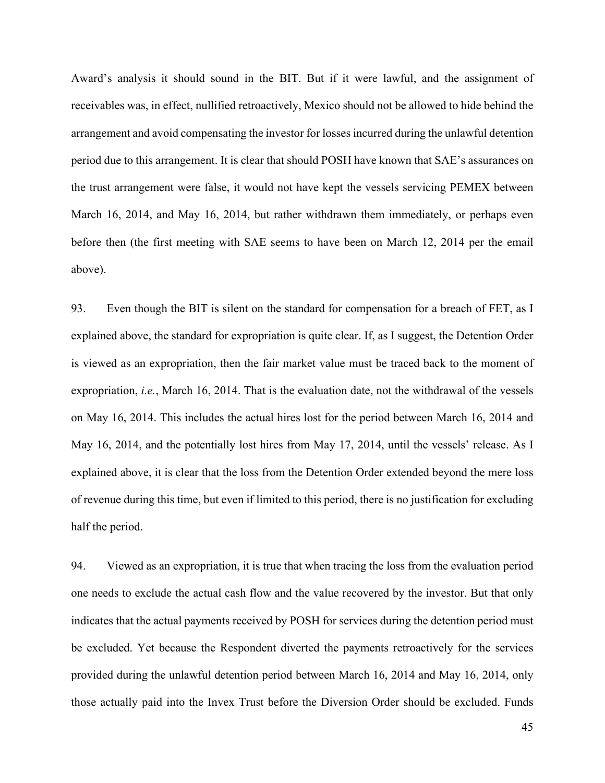Award's analysis it should sound in the BIT. But if it were lawful, and the assignment of receivables was, in effect, nullified retroactively, Mexico should not be allowed to hide behind the arrangement and avoid compensating the investor for losses incurred during the unlawful detention period due to this arrangement. It is clear that should POSH have known that SAE's assurances on the trust arrangement were false, it would not have kept the vessels servicing PEMEX between March 16, 2014, and May 16, 2014, but rather withdrawn them immediately, or perhaps even before then (the first meeting with SAE seems to have been on March 12, 2014 per the email above).

93. Even though the BIT is silent on the standard for compensation for a breach of FET, as I explained above, the standard for expropriation is quite clear. If, as I suggest, the Detention Order is viewed as an expropriation, then the fair market value must be traced back to the moment of expropriation, *i.e.*, March 16, 2014. That is the evaluation date, not the withdrawal of the vessels on May 16, 2014. This includes the actual hires lost for the period between March 16, 2014 and May 16, 2014, and the potentially lost hires from May 17, 2014, until the vessels' release. As I explained above, it is clear that the loss from the Detention Order extended beyond the mere loss of revenue during this time, but even if limited to this period, there is no justification for excluding half the period.

94. Viewed as an expropriation, it is true that when tracing the loss from the evaluation period one needs to exclude the actual cash flow and the value recovered by the investor. But that only indicates that the actual payments received by POSH for services during the detention period must be excluded. Yet because the Respondent diverted the payments retroactively for the services provided during the unlawful detention period between March 16, 2014 and May 16, 2014, only those actually paid into the Invex Trust before the Diversion Order should be excluded. Funds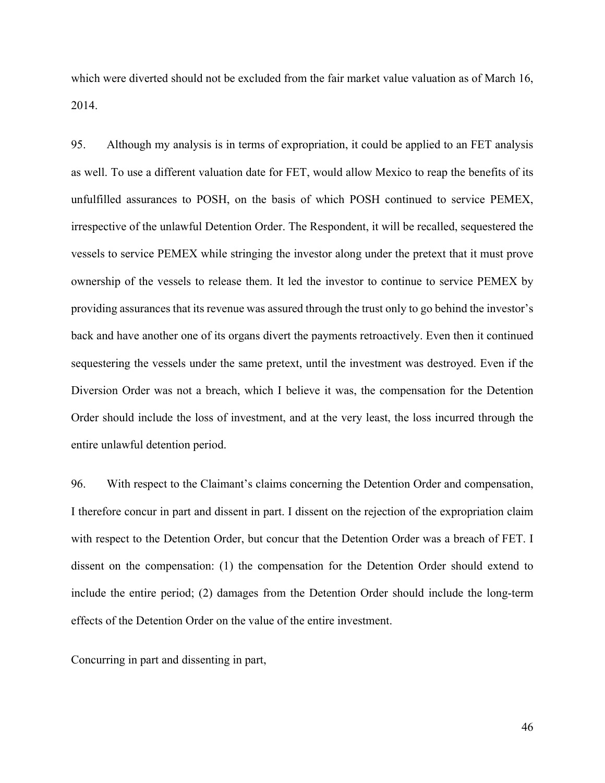which were diverted should not be excluded from the fair market value valuation as of March 16, 2014.

95. Although my analysis is in terms of expropriation, it could be applied to an FET analysis as well. To use a different valuation date for FET, would allow Mexico to reap the benefits of its unfulfilled assurances to POSH, on the basis of which POSH continued to service PEMEX, irrespective of the unlawful Detention Order. The Respondent, it will be recalled, sequestered the vessels to service PEMEX while stringing the investor along under the pretext that it must prove ownership of the vessels to release them. It led the investor to continue to service PEMEX by providing assurances that its revenue was assured through the trust only to go behind the investor's back and have another one of its organs divert the payments retroactively. Even then it continued sequestering the vessels under the same pretext, until the investment was destroyed. Even if the Diversion Order was not a breach, which I believe it was, the compensation for the Detention Order should include the loss of investment, and at the very least, the loss incurred through the entire unlawful detention period.

96. With respect to the Claimant's claims concerning the Detention Order and compensation, I therefore concur in part and dissent in part. I dissent on the rejection of the expropriation claim with respect to the Detention Order, but concur that the Detention Order was a breach of FET. I dissent on the compensation: (1) the compensation for the Detention Order should extend to include the entire period; (2) damages from the Detention Order should include the long-term effects of the Detention Order on the value of the entire investment.

Concurring in part and dissenting in part,